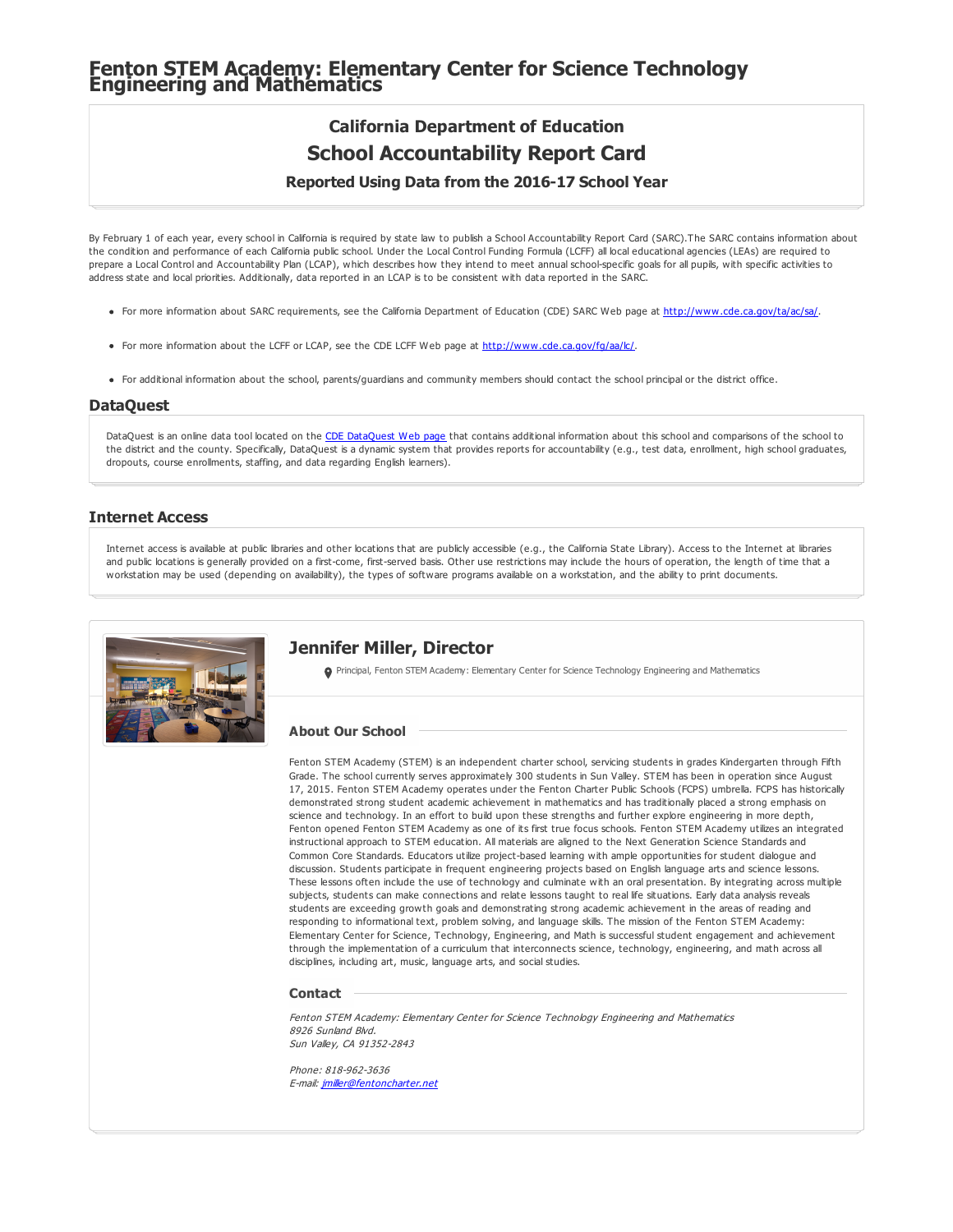# **Fenton STEM Academy: Elementary Center for Science Technology Engineering and Mathematics**

### **California Department of Education School Accountability Report Card**

#### **Reported Using Data from the 2016-17 School Year**

By February 1 of each year, every school in California is required by state law to publish a School Accountability Report Card (SARC).The SARC contains information about the condition and performance of each California public school. Under the Local Control Funding Formula (LCFF) all local educational agencies (LEAs) are required to prepare a Local Control and Accountability Plan (LCAP), which describes how they intend to meet annual school-specific goals for all pupils, with specific activities to address state and local priorities. Additionally, data reported in an LCAP is to be consistent with data reported in the SARC.

- For more information about SARC requirements, see the California Department of Education (CDE) SARC Web page at <http://www.cde.ca.gov/ta/ac/sa/>.
- For more information about the LCFF or LCAP, see the CDE LCFF Web page at <http://www.cde.ca.gov/fg/aa/lc/>.
- For additional information about the school, parents/guardians and community members should contact the school principal or the district office.

#### **DataQuest**

[DataQuest](http://dq.cde.ca.gov/dataquest/) is an online data tool located on the CDE DataQuest Web page that contains additional information about this school and comparisons of the school to the district and the county. Specifically, DataQuest is a dynamic system that provides reports for accountability (e.g., test data, enrollment, high school graduates, dropouts, course enrollments, staffing, and data regarding English learners).

#### **Internet Access**

Internet access is available at public libraries and other locations that are publicly accessible (e.g., the California State Library). Access to the Internet at libraries and public locations is generally provided on a first-come, first-served basis. Other use restrictions may include the hours of operation, the length of time that a workstation may be used (depending on availability), the types of software programs available on a workstation, and the ability to print documents.



#### **Jennifer Miller, Director**

Principal, Fenton STEM Academy: Elementary Center for Science Technology Engineering and Mathematics

#### **About Our School**

Fenton STEM Academy (STEM) is an independent charter school, servicing students in grades Kindergarten through Fifth Grade. The school currently serves approximately 300 students in Sun Valley. STEM has been in operation since August 17, 2015. Fenton STEM Academy operates under the Fenton Charter Public Schools (FCPS) umbrella. FCPS has historically demonstrated strong student academic achievement in mathematics and has traditionally placed a strong emphasis on science and technology. In an effort to build upon these strengths and further explore engineering in more depth, Fenton opened Fenton STEM Academy as one of its first true focus schools. Fenton STEM Academy utilizes an integrated instructional approach to STEM education. All materials are aligned to the Next Generation Science Standards and Common Core Standards. Educators utilize project-based learning with ample opportunities for student dialogue and discussion. Students participate in frequent engineering projects based on English language arts and science lessons. These lessons often include the use of technology and culminate with an oral presentation. By integrating across multiple subjects, students can make connections and relate lessons taught to real life situations. Early data analysis reveals students are exceeding growth goals and demonstrating strong academic achievement in the areas of reading and responding to informational text, problem solving, and language skills. The mission of the Fenton STEM Academy: Elementary Center for Science, Technology, Engineering, and Math is successful student engagement and achievement through the implementation of a curriculum that interconnects science, technology, engineering, and math across all disciplines, including art, music, language arts, and social studies.

#### **Contact**

Fenton STEM Academy: Elementary Center for Science Technology Engineering and Mathematics 8926 Sunland Blvd. Sun Valley, CA 91352-2843

Phone: 818-962-3636 E-mail: [jmiller@fentoncharter.net](mailto:jmiller@fentoncharter.net)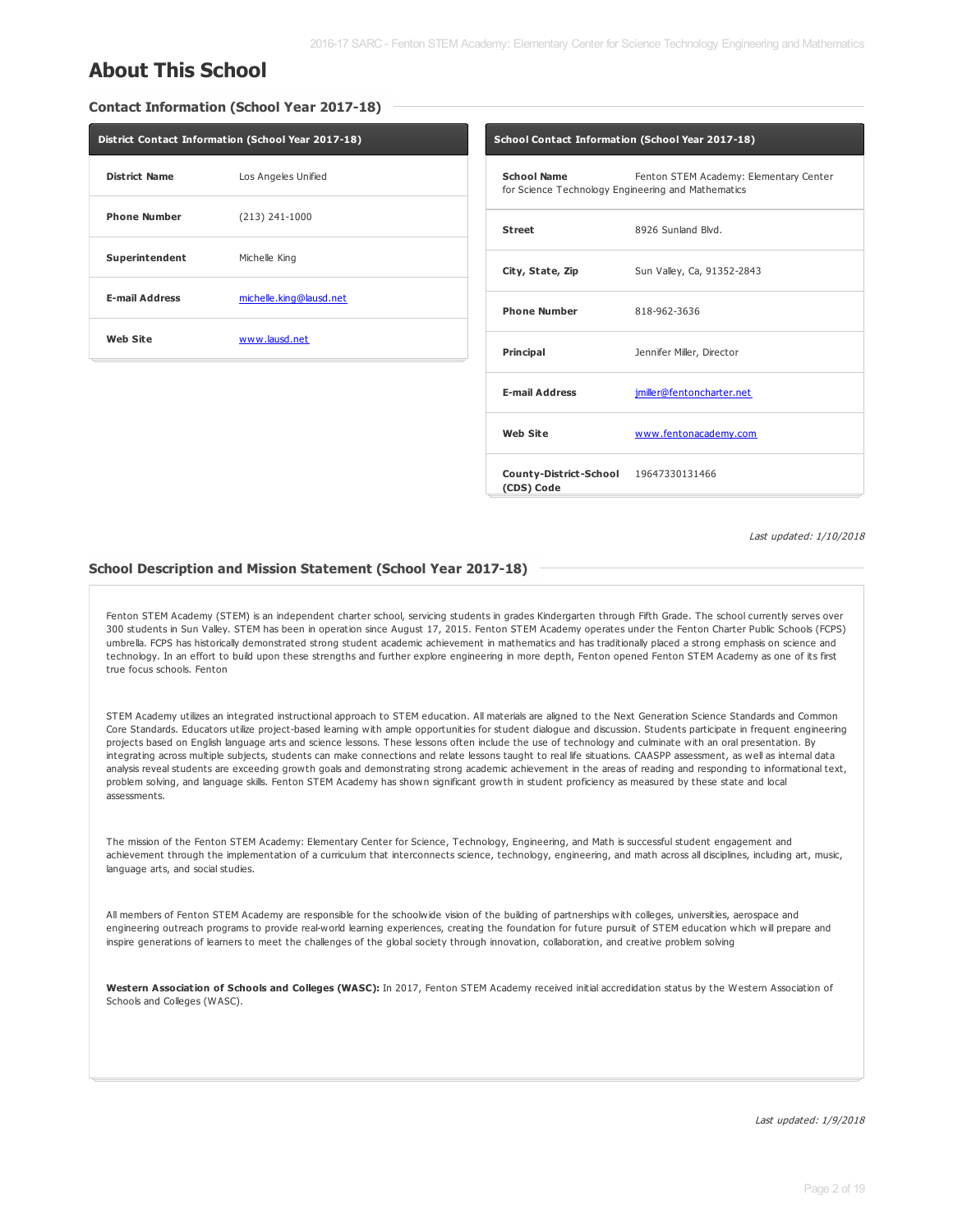### **About This School**

**Contact Information (School Year 2017-18)**

| District Contact Information (School Year 2017-18) |                         |        |  |  |  |
|----------------------------------------------------|-------------------------|--------|--|--|--|
| <b>District Name</b>                               | Los Angeles Unified     | s<br>f |  |  |  |
| <b>Phone Number</b>                                | $(213) 241 - 1000$      | s      |  |  |  |
| Superintendent                                     | Michelle King           |        |  |  |  |
| <b>E-mail Address</b>                              | michelle.king@lausd.net | P      |  |  |  |
| <b>Web Site</b>                                    | www.lausd.net           | P      |  |  |  |
|                                                    |                         |        |  |  |  |

| School Contact Information (School Year 2017-18)                  |                                        |  |  |  |  |  |
|-------------------------------------------------------------------|----------------------------------------|--|--|--|--|--|
| School Name<br>for Science Technology Engineering and Mathematics | Fenton STEM Academy: Elementary Center |  |  |  |  |  |
| <b>Street</b>                                                     | 8926 Sunland Blvd.                     |  |  |  |  |  |
| City, State, Zip                                                  | Sun Valley, Ca, 91352-2843             |  |  |  |  |  |
| <b>Phone Number</b>                                               | 818-962-3636                           |  |  |  |  |  |
| Principal                                                         | Jennifer Miller, Director              |  |  |  |  |  |
| <b>E-mail Address</b>                                             | jmiller@fentoncharter.net              |  |  |  |  |  |
| <b>Web Site</b>                                                   | www.fentonacademy.com                  |  |  |  |  |  |
| County-District-School 19647330131466<br>(CDS) Code               |                                        |  |  |  |  |  |

Last updated: 1/10/2018

#### **School Description and Mission Statement (School Year 2017-18)**

Fenton STEM Academy (STEM) is an independent charter school, servicing students in grades Kindergarten through Fifth Grade. The school currently serves over 300 students in Sun Valley. STEM has been in operation since August 17, 2015. Fenton STEM Academy operates under the Fenton Charter Public Schools (FCPS) umbrella. FCPS has historically demonstrated strong student academic achievement in mathematics and has traditionally placed a strong emphasis on science and technology. In an effort to build upon these strengths and further explore engineering in more depth, Fenton opened Fenton STEM Academy as one of its first true focus schools. Fenton

STEM Academy utilizes an integrated instructional approach to STEM education. All materials are aligned to the Next Generation Science Standards and Common Core Standards. Educators utilize project-based learning with ample opportunities for student dialogue and discussion. Students participate in frequent engineering projects based on English language arts and science lessons. These lessons often include the use of technology and culminate with an oral presentation. By integrating across multiple subjects, students can make connections and relate lessons taught to real life situations. CAASPP assessment, as well as internal data analysis reveal students are exceeding growth goals and demonstrating strong academic achievement in the areas of reading and responding to informational text, problem solving, and language skills. Fenton STEM Academy has shown significant growth in student proficiency as measured by these state and local assessments.

The mission of the Fenton STEM Academy: Elementary Center for Science, Technology, Engineering, and Math is successful student engagement and achievement through the implementation of a curriculum that interconnects science, technology, engineering, and math across all disciplines, including art, music, language arts, and social studies.

All members of Fenton STEM Academy are responsible for the schoolwide vision of the building of partnerships with colleges, universities, aerospace and engineering outreach programs to provide real-world learning experiences, creating the foundation for future pursuit of STEM education which will prepare and inspire generations of learners to meet the challenges of the global society through innovation, collaboration, and creative problem solving

**Western Association of Schools and Colleges (WASC):** In 2017, Fenton STEM Academy received initial accredidation status by the Western Association of Schools and Colleges (WASC).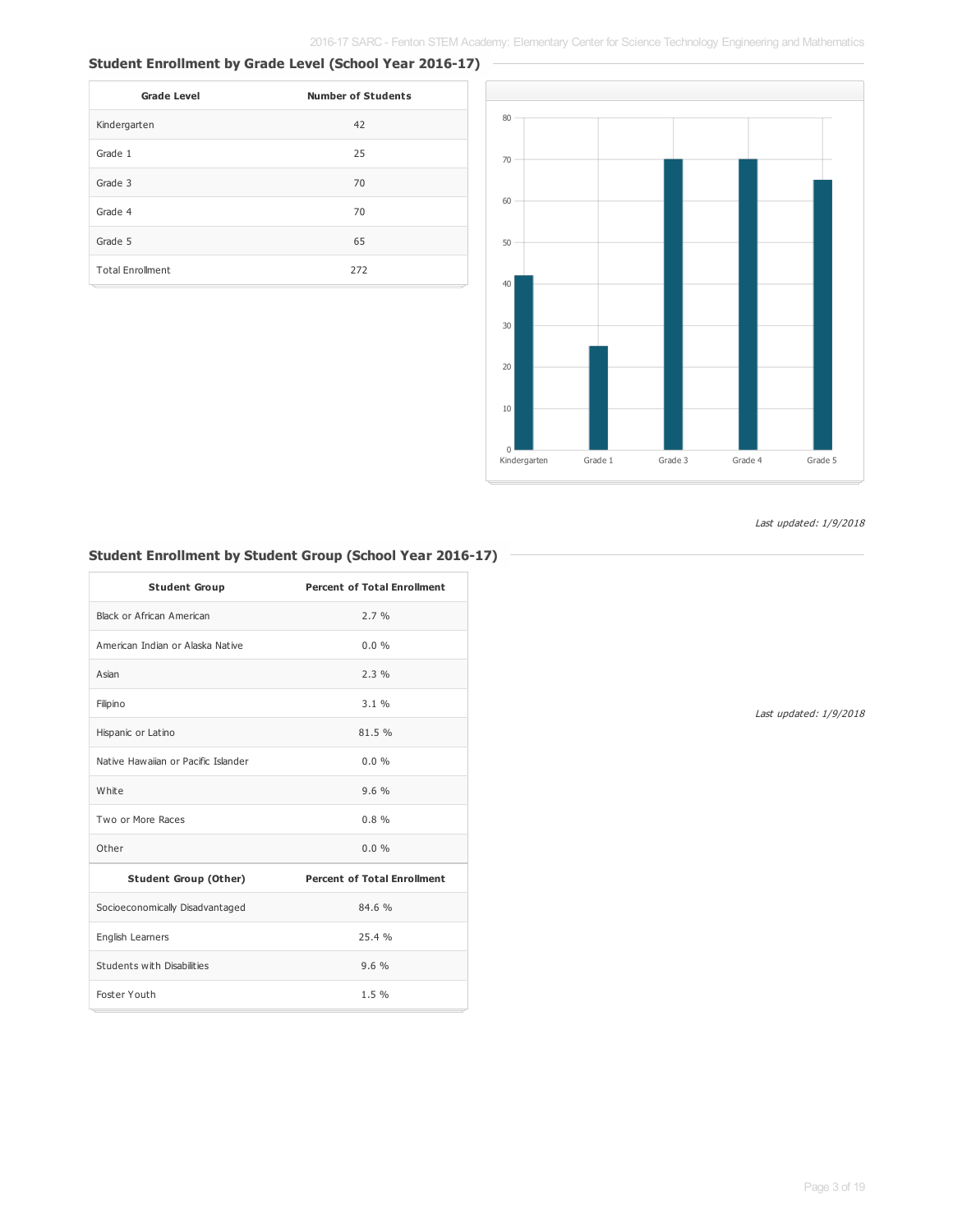#### **Student Enrollment by Grade Level (School Year 2016-17)**

| <b>Grade Level</b>      | <b>Number of Students</b> |
|-------------------------|---------------------------|
| Kindergarten            | 42                        |
| Grade 1                 | 25                        |
| Grade 3                 | 70                        |
| Grade 4                 | 70                        |
| Grade 5                 | 65                        |
| <b>Total Enrollment</b> | 272                       |



Last updated: 1/9/2018

#### **Student Enrollment by Student Group (School Year 2016-17)**

| <b>Student Group</b>                | <b>Percent of Total Enrollment</b> |
|-------------------------------------|------------------------------------|
| Black or African American           | 2.7%                               |
| American Indian or Alaska Native    | 0.0%                               |
| Asian                               | 2.3%                               |
| Filipino                            | 3.1%                               |
| Hispanic or Latino                  | 81.5%                              |
| Native Hawaijan or Pacific Islander | $0.0\%$                            |
| White                               | 9.6%                               |
| Two or More Races                   | 0.8%                               |
| Other                               | $0.0\%$                            |
| <b>Student Group (Other)</b>        | <b>Percent of Total Enrollment</b> |
| Socioeconomically Disadvantaged     | 84.6 %                             |
| English Learners                    | 25.4%                              |
| Students with Disabilities          | 9.6%                               |
| Foster Youth                        | 1.5%                               |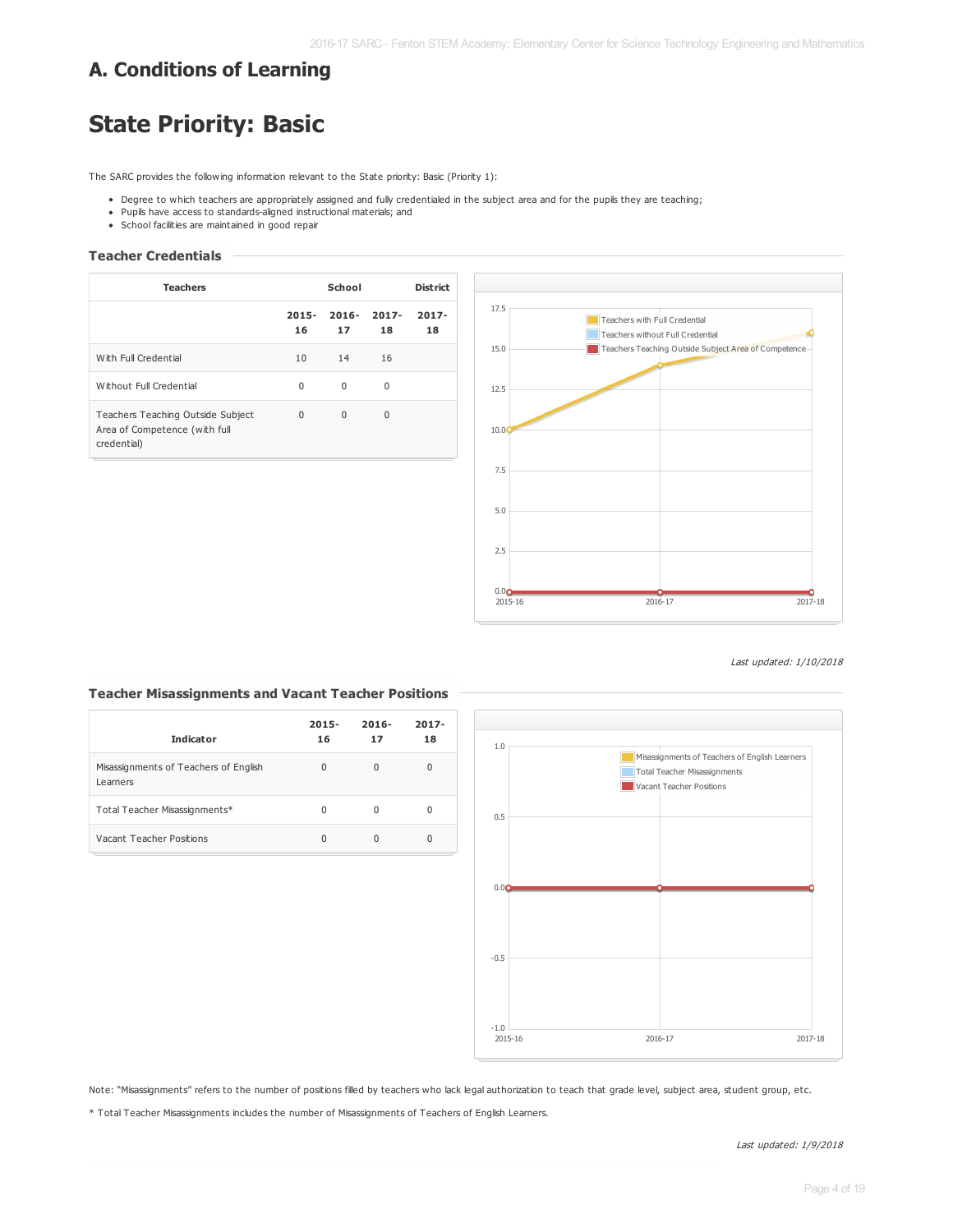### **A. Conditions of Learning**

## **State Priority: Basic**

The SARC provides the following information relevant to the State priority: Basic (Priority 1):

- Degree to which teachers are appropriately assigned and fully credentialed in the subject area and for the pupils they are teaching;
- Pupils have access to standards-aligned instructional materials; and
- School facilities are maintained in good repair

#### **Teacher Credentials**

| <b>Teachers</b>                                                                   | School         |                |                | <b>District</b> |
|-----------------------------------------------------------------------------------|----------------|----------------|----------------|-----------------|
|                                                                                   | $2015 -$<br>16 | $2016 -$<br>17 | $2017 -$<br>18 | $2017 -$<br>18  |
| With Full Credential                                                              | 10             | 14             | 16             |                 |
| Without Full Credential                                                           | $\Omega$       | $\Omega$       | 0              |                 |
| Teachers Teaching Outside Subject<br>Area of Competence (with full<br>credential) | $\Omega$       | $\Omega$       | $\Omega$       |                 |



Last updated: 1/10/2018

#### **Teacher Misassignments and Vacant Teacher Positions**

| <b>Indicator</b>                                  | $2015 -$<br>16 | $2016 -$<br>17 | $2017 -$<br>18 |
|---------------------------------------------------|----------------|----------------|----------------|
| Misassignments of Teachers of English<br>Learners | 0              | 0              | 0              |
| Total Teacher Misassignments*                     | <sup>0</sup>   | 0              | 0              |
| Vacant Teacher Positions                          |                | 0              | O              |



Note: "Misassignments" refers to the number of positions filled by teachers who lack legal authorization to teach that grade level, subject area, student group, etc.

\* Total Teacher Misassignments includes the number of Misassignments of Teachers of English Learners.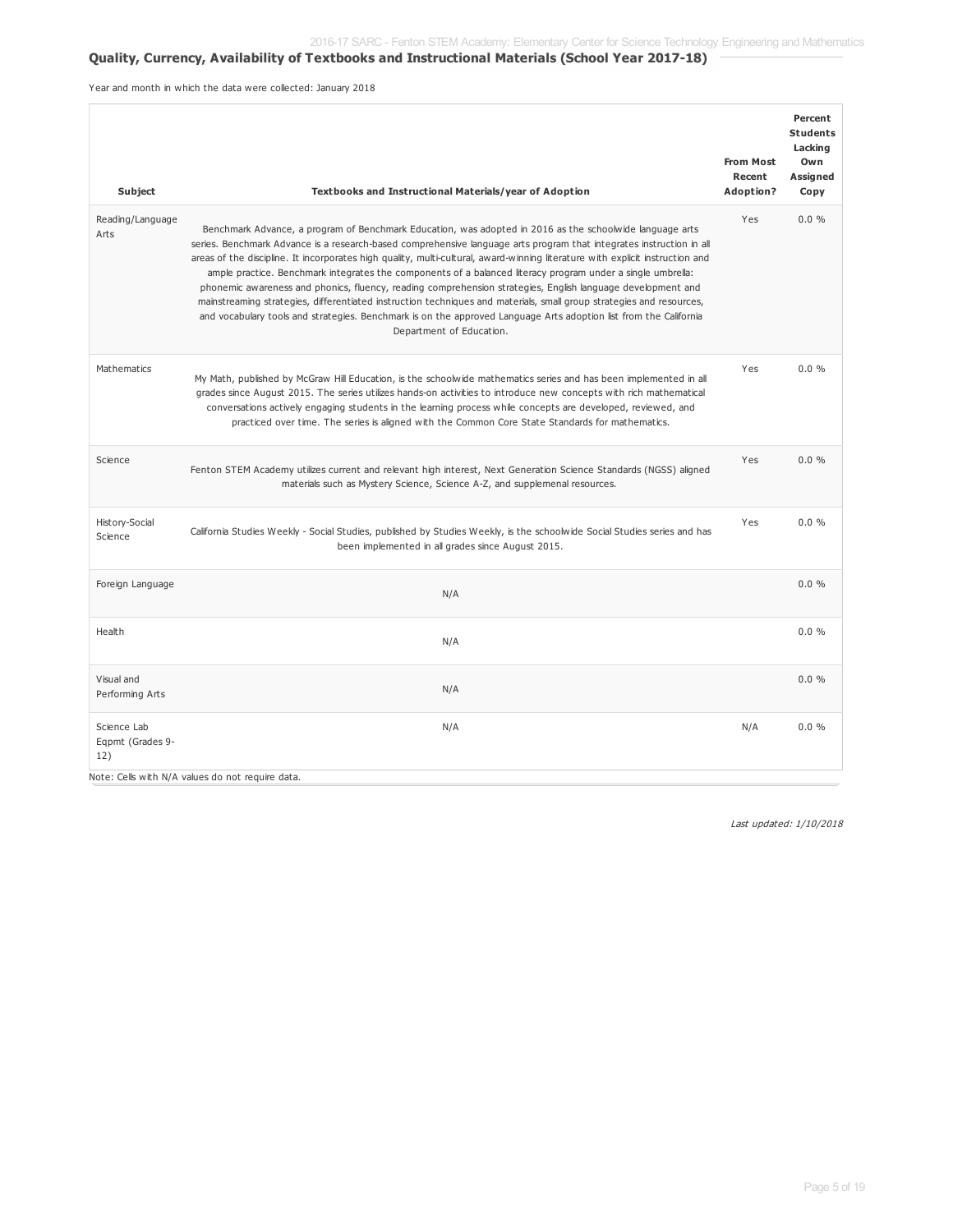#### **Quality, Currency, Availability of Textbooks and Instructional Materials (School Year 2017-18)**

Year and month in which the data were collected: January 2018

| Subject                                | Textbooks and Instructional Materials/year of Adoption                                                                                                                                                                                                                                                                                                                                                                                                                                                                                                                                                                                                                                                                                                                                                                                                                   | <b>From Most</b><br>Recent<br>Adoption? | Percent<br><b>Students</b><br>Lacking<br>Own<br>Assigned<br>Copy |
|----------------------------------------|--------------------------------------------------------------------------------------------------------------------------------------------------------------------------------------------------------------------------------------------------------------------------------------------------------------------------------------------------------------------------------------------------------------------------------------------------------------------------------------------------------------------------------------------------------------------------------------------------------------------------------------------------------------------------------------------------------------------------------------------------------------------------------------------------------------------------------------------------------------------------|-----------------------------------------|------------------------------------------------------------------|
| Reading/Language<br>Arts               | Benchmark Advance, a program of Benchmark Education, was adopted in 2016 as the schoolwide language arts<br>series. Benchmark Advance is a research-based comprehensive language arts program that integrates instruction in all<br>areas of the discipline. It incorporates high quality, multi-cultural, award-winning literature with explicit instruction and<br>ample practice. Benchmark integrates the components of a balanced literacy program under a single umbrella:<br>phonemic awareness and phonics, fluency, reading comprehension strategies, English language development and<br>mainstreaming strategies, differentiated instruction techniques and materials, small group strategies and resources,<br>and vocabulary tools and strategies. Benchmark is on the approved Language Arts adoption list from the California<br>Department of Education. | Yes                                     | 0.0%                                                             |
| Mathematics                            | My Math, published by McGraw Hill Education, is the schoolwide mathematics series and has been implemented in all<br>grades since August 2015. The series utilizes hands-on activities to introduce new concepts with rich mathematical<br>conversations actively engaging students in the learning process while concepts are developed, reviewed, and<br>practiced over time. The series is aligned with the Common Core State Standards for mathematics.                                                                                                                                                                                                                                                                                                                                                                                                              | Yes                                     | 0.0 %                                                            |
| Science                                | Fenton STEM Academy utilizes current and relevant high interest, Next Generation Science Standards (NGSS) aligned<br>materials such as Mystery Science, Science A-Z, and supplemenal resources.                                                                                                                                                                                                                                                                                                                                                                                                                                                                                                                                                                                                                                                                          | Yes                                     | 0.0%                                                             |
| History-Social<br>Science              | California Studies Weekly - Social Studies, published by Studies Weekly, is the schoolwide Social Studies series and has<br>been implemented in all grades since August 2015.                                                                                                                                                                                                                                                                                                                                                                                                                                                                                                                                                                                                                                                                                            | Yes                                     | 0.0%                                                             |
| Foreign Language                       | N/A                                                                                                                                                                                                                                                                                                                                                                                                                                                                                                                                                                                                                                                                                                                                                                                                                                                                      |                                         | 0.0%                                                             |
| Health                                 | N/A                                                                                                                                                                                                                                                                                                                                                                                                                                                                                                                                                                                                                                                                                                                                                                                                                                                                      |                                         | 0.0%                                                             |
| Visual and<br>Performing Arts          | N/A                                                                                                                                                                                                                                                                                                                                                                                                                                                                                                                                                                                                                                                                                                                                                                                                                                                                      |                                         | 0.0%                                                             |
| Science Lab<br>Eqpmt (Grades 9-<br>12) | N/A<br>Note: Cells with N/A values do not require data.                                                                                                                                                                                                                                                                                                                                                                                                                                                                                                                                                                                                                                                                                                                                                                                                                  | N/A                                     | 0.0%                                                             |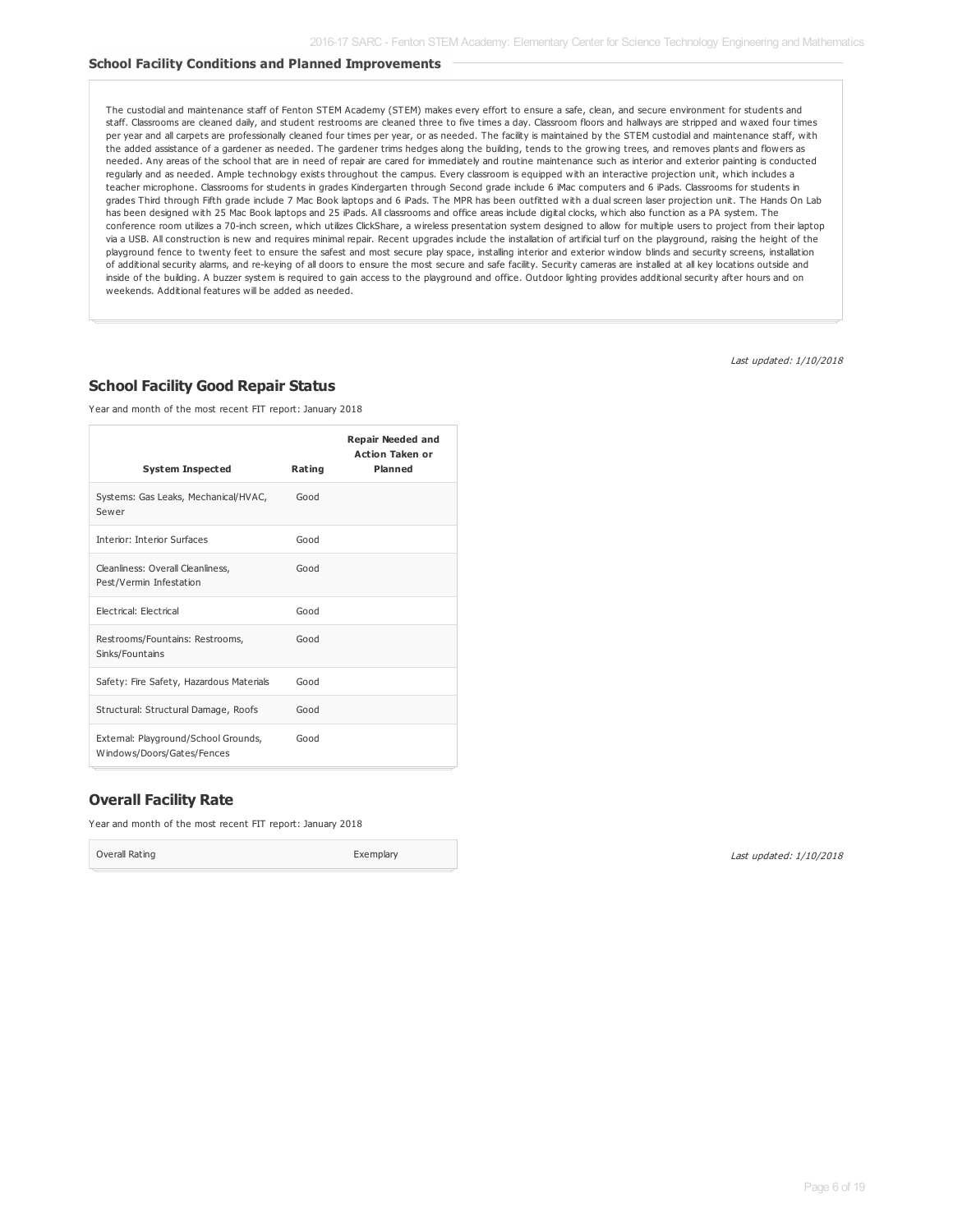#### **School Facility Conditions and Planned Improvements**

The custodial and maintenance staff of Fenton STEM Academy (STEM) makes every effort to ensure a safe, clean, and secure environment for students and staff. Classrooms are cleaned daily, and student restrooms are cleaned three to five times a day. Classroom floors and hallways are stripped and waxed four times per year and all carpets are professionally cleaned four times per year, or as needed. The facility is maintained by the STEM custodial and maintenance staff, with the added assistance of a gardener as needed. The gardener trims hedges along the building, tends to the growing trees, and removes plants and flowers as needed. Any areas of the school that are in need of repair are cared for immediately and routine maintenance such as interior and exterior painting is conducted regularly and as needed. Ample technology exists throughout the campus. Every classroom is equipped with an interactive projection unit, which includes a teacher microphone. Classrooms for students in grades Kindergarten through Second grade include 6 iMac computers and 6 iPads. Classrooms for students in grades Third through Fifth grade include 7 Mac Book laptops and 6 iPads. The MPR has been outfitted with a dual screen laser projection unit. The Hands On Lab has been designed with 25 Mac Book laptops and 25 iPads. All classrooms and office areas include digital clocks, which also function as a PA system. The conference room utilizes a 70-inch screen, which utilizes ClickShare, a wireless presentation system designed to allow for multiple users to project from their laptop via a USB. All construction is new and requires minimal repair. Recent upgrades include the installation of artificial turf on the playground, raising the height of the playground fence to twenty feet to ensure the safest and most secure play space, installing interior and exterior window blinds and security screens, installation of additional security alarms, and re-keying of all doors to ensure the most secure and safe facility. Security cameras are installed at all key locations outside and inside of the building. A buzzer system is required to gain access to the playground and office. Outdoor lighting provides additional security after hours and on weekends. Additional features will be added as needed.

Last updated: 1/10/2018

#### **School Facility Good Repair Status**

Year and month of the most recent FIT report: January 2018

|                                                                    |        | <b>Repair Needed and</b><br><b>Action Taken or</b> |
|--------------------------------------------------------------------|--------|----------------------------------------------------|
| <b>System Inspected</b>                                            | Rating | <b>Planned</b>                                     |
| Systems: Gas Leaks, Mechanical/HVAC,<br>Sewer                      | Good   |                                                    |
| Interior: Interior Surfaces                                        | Good   |                                                    |
| Cleanliness: Overall Cleanliness,<br>Pest/Vermin Infestation       | Good   |                                                    |
| Electrical: Electrical                                             | Good   |                                                    |
| Restrooms/Fountains: Restrooms,<br>Sinks/Fountains                 | Good   |                                                    |
| Safety: Fire Safety, Hazardous Materials                           | Good   |                                                    |
| Structural: Structural Damage, Roofs                               | Good   |                                                    |
| External: Playground/School Grounds,<br>Windows/Doors/Gates/Fences | Good   |                                                    |

#### **Overall Facility Rate**

Year and month of the most recent FIT report: January 2018

Overall Rating **Exemplary**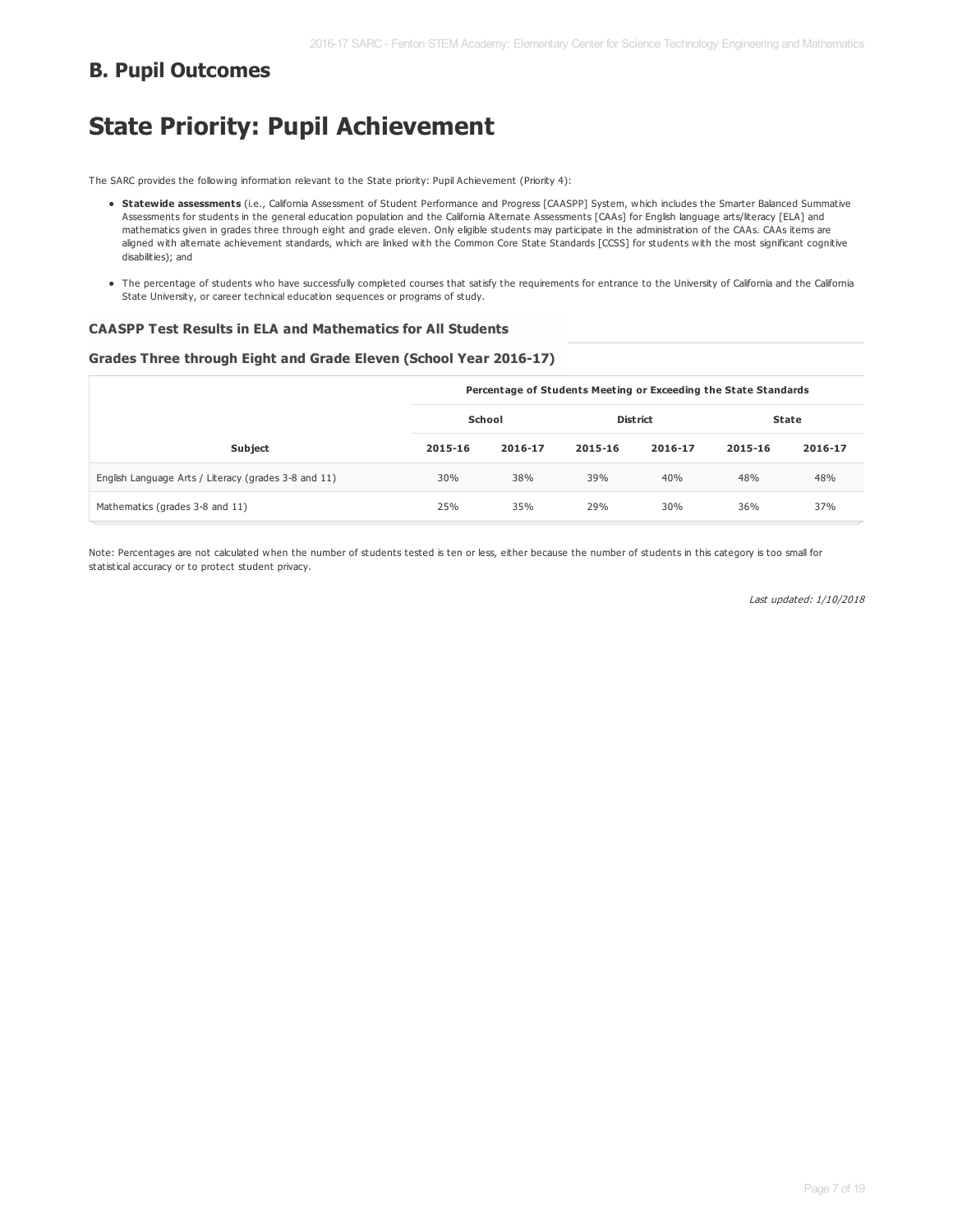### **B. Pupil Outcomes**

## **State Priority: Pupil Achievement**

The SARC provides the following information relevant to the State priority: Pupil Achievement (Priority 4):

- **Statewide assessments** (i.e., California Assessment of Student Performance and Progress [CAASPP] System, which includes the Smarter Balanced Summative Assessments for students in the general education population and the California Alternate Assessments [CAAs] for English language arts/literacy [ELA] and mathematics given in grades three through eight and grade eleven. Only eligible students may participate in the administration of the CAAs. CAAs items are aligned with alternate achievement standards, which are linked with the Common Core State Standards [CCSS] for students with the most significant cognitive disabilities); and
- . The percentage of students who have successfully completed courses that satisfy the requirements for entrance to the University of California and the California State University, or career technical education sequences or programs of study.

#### **CAASPP Test Results in ELA and Mathematics for All Students**

#### **Grades Three through Eight and Grade Eleven (School Year 2016-17)**

|                                                      | Percentage of Students Meeting or Exceeding the State Standards |         |                 |         |              |         |  |
|------------------------------------------------------|-----------------------------------------------------------------|---------|-----------------|---------|--------------|---------|--|
|                                                      | School                                                          |         | <b>District</b> |         | <b>State</b> |         |  |
| <b>Subject</b>                                       | 2015-16                                                         | 2016-17 | 2015-16         | 2016-17 | 2015-16      | 2016-17 |  |
| English Language Arts / Literacy (grades 3-8 and 11) | 30%                                                             | 38%     | 39%             | 40%     | 48%          | 48%     |  |
| Mathematics (grades 3-8 and 11)                      | 25%                                                             | 35%     | 29%             | 30%     | 36%          | 37%     |  |

Note: Percentages are not calculated when the number of students tested is ten or less, either because the number of students in this category is too small for statistical accuracy or to protect student privacy.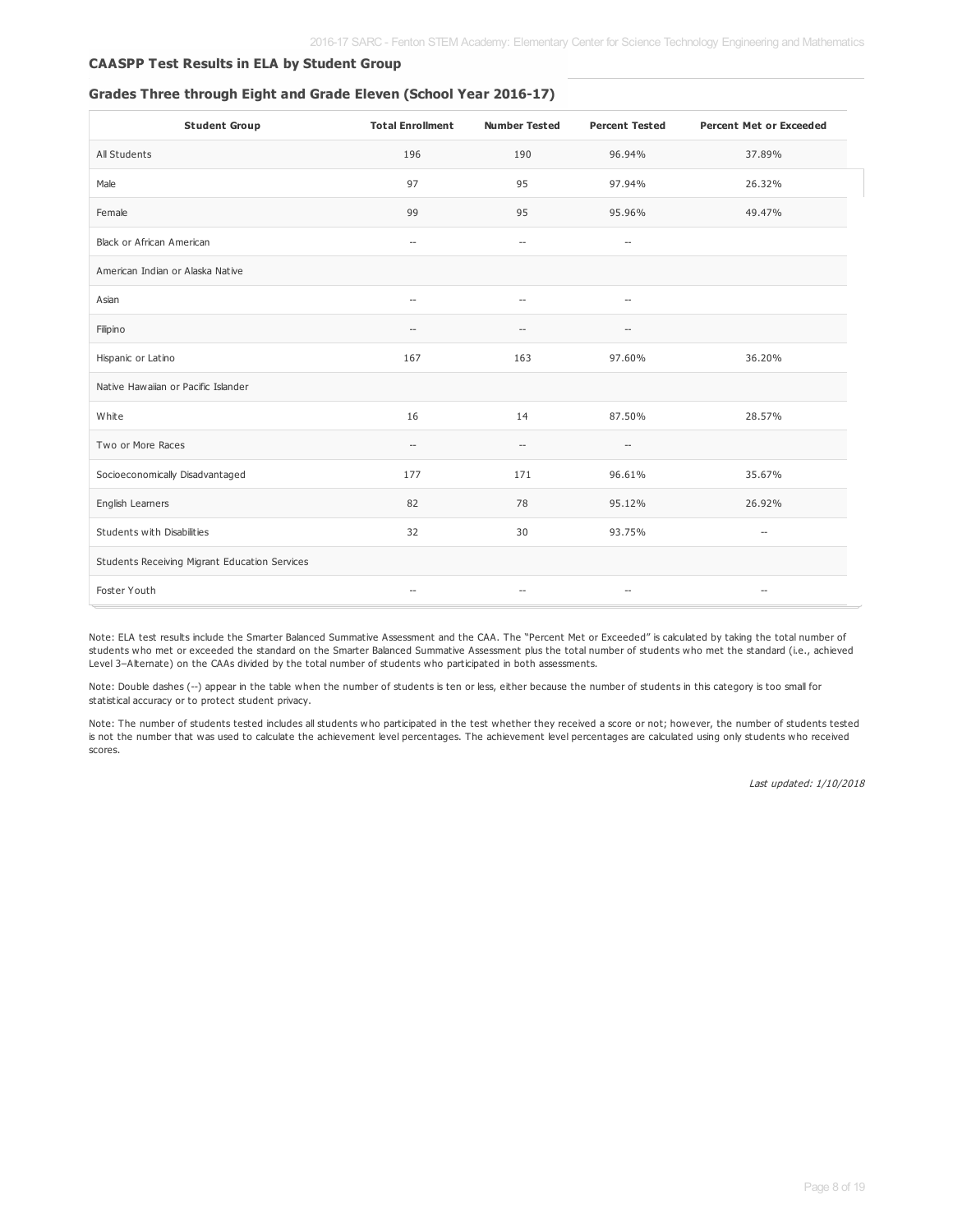#### **CAASPP Test Results in ELA by Student Group**

#### **Grades Three through Eight and Grade Eleven (School Year 2016-17)**

| <b>Student Group</b>                          | <b>Total Enrollment</b>  | <b>Number Tested</b>     | <b>Percent Tested</b>    | <b>Percent Met or Exceeded</b> |
|-----------------------------------------------|--------------------------|--------------------------|--------------------------|--------------------------------|
| All Students                                  | 196                      | 190                      | 96.94%                   | 37.89%                         |
| Male                                          | 97                       | 95                       | 97.94%                   | 26.32%                         |
| Female                                        | 99                       | 95                       | 95.96%                   | 49.47%                         |
| <b>Black or African American</b>              | $\overline{\phantom{a}}$ | $\hspace{0.05cm} -$      | $\overline{\phantom{a}}$ |                                |
| American Indian or Alaska Native              |                          |                          |                          |                                |
| Asian                                         | $\overline{\phantom{a}}$ | $\overline{a}$           | $\overline{a}$           |                                |
| Filipino                                      | $\overline{\phantom{a}}$ | --                       | --                       |                                |
| Hispanic or Latino                            | 167                      | 163                      | 97.60%                   | 36.20%                         |
| Native Hawaiian or Pacific Islander           |                          |                          |                          |                                |
| White                                         | 16                       | 14                       | 87.50%                   | 28.57%                         |
| Two or More Races                             | $\overline{\phantom{a}}$ | $\overline{\phantom{a}}$ | $\overline{a}$           |                                |
| Socioeconomically Disadvantaged               | 177                      | 171                      | 96.61%                   | 35.67%                         |
| English Learners                              | 82                       | 78                       | 95.12%                   | 26.92%                         |
| Students with Disabilities                    | 32                       | 30                       | 93.75%                   | $\overline{\phantom{m}}$       |
| Students Receiving Migrant Education Services |                          |                          |                          |                                |
| Foster Youth                                  | $\sim$ $\sim$            | $\overline{\phantom{a}}$ | --                       | $\overline{a}$                 |

Note: ELA test results include the Smarter Balanced Summative Assessment and the CAA. The "Percent Met or Exceeded" is calculated by taking the total number of students who met or exceeded the standard on the Smarter Balanced Summative Assessment plus the total number of students who met the standard (i.e., achieved Level 3–Alternate) on the CAAs divided by the total number of students who participated in both assessments.

Note: Double dashes (--) appear in the table when the number of students is ten or less, either because the number of students in this category is too small for statistical accuracy or to protect student privacy.

Note: The number of students tested includes all students who participated in the test whether they received a score or not; however, the number of students tested is not the number that was used to calculate the achievement level percentages. The achievement level percentages are calculated using only students who received scores.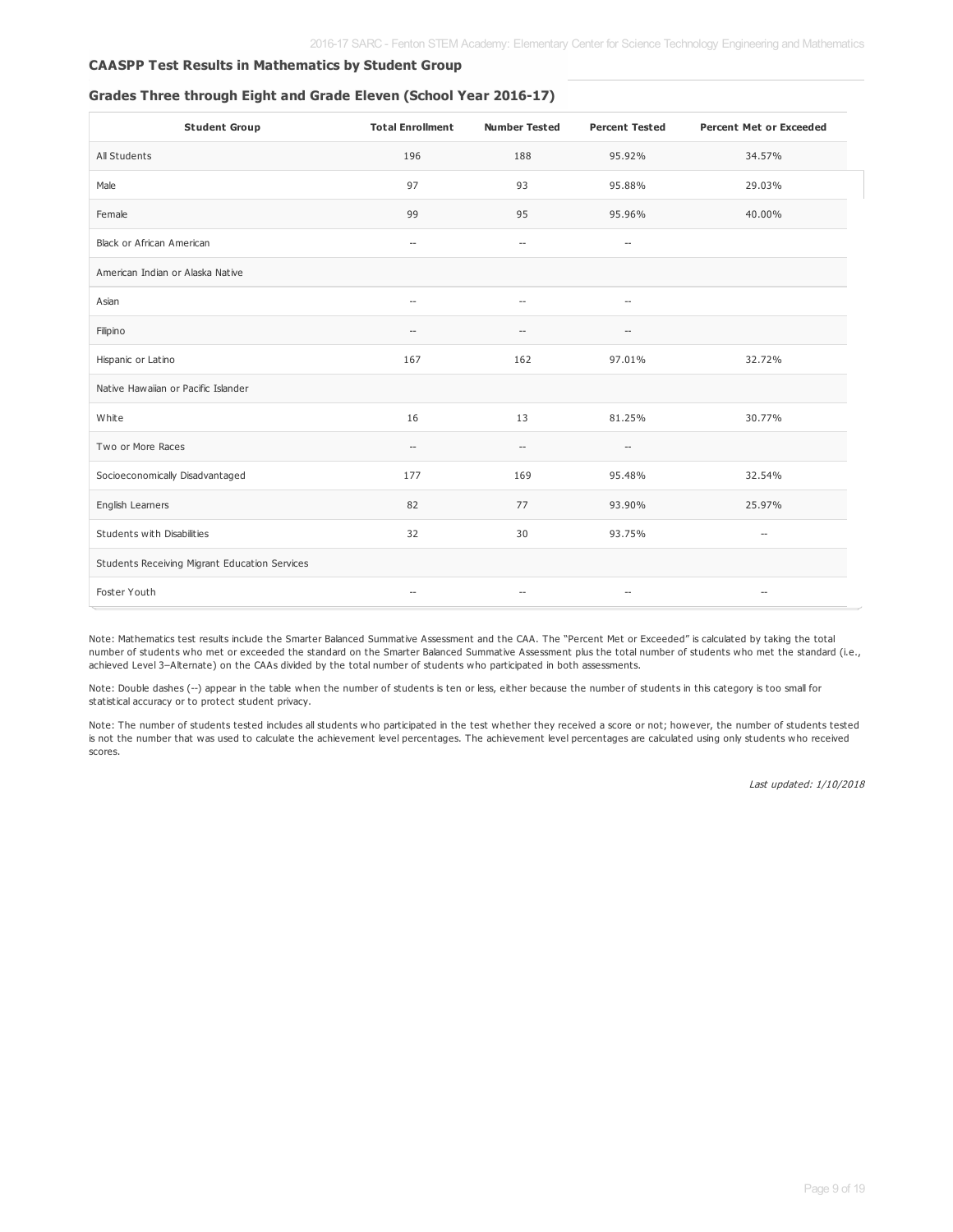#### **CAASPP Test Results in Mathematics by Student Group**

#### **Grades Three through Eight and Grade Eleven (School Year 2016-17)**

| <b>Student Group</b>                          | <b>Total Enrollment</b>  | <b>Number Tested</b>     | <b>Percent Tested</b>    | <b>Percent Met or Exceeded</b> |
|-----------------------------------------------|--------------------------|--------------------------|--------------------------|--------------------------------|
| All Students                                  | 196                      | 188                      | 95.92%                   | 34.57%                         |
| Male                                          | 97                       | 93                       | 95.88%                   | 29.03%                         |
| Female                                        | 99                       | 95                       | 95.96%                   | 40.00%                         |
| <b>Black or African American</b>              | $\overline{\phantom{a}}$ | $\overline{\phantom{a}}$ | $\overline{\phantom{a}}$ |                                |
| American Indian or Alaska Native              |                          |                          |                          |                                |
| Asian                                         | $\overline{\phantom{a}}$ | $\sim$                   | $\overline{\phantom{a}}$ |                                |
| Filipino                                      | $\sim$ $\sim$            | $-$                      | $\overline{a}$           |                                |
| Hispanic or Latino                            | 167                      | 162                      | 97.01%                   | 32.72%                         |
| Native Hawaiian or Pacific Islander           |                          |                          |                          |                                |
| White                                         | 16                       | 13                       | 81.25%                   | 30.77%                         |
| Two or More Races                             | $\overline{\phantom{a}}$ | $\qquad \qquad -$        | $\hspace{0.05cm} -$      |                                |
| Socioeconomically Disadvantaged               | 177                      | 169                      | 95.48%                   | 32.54%                         |
| English Learners                              | 82                       | 77                       | 93.90%                   | 25.97%                         |
| Students with Disabilities                    | 32                       | 30                       | 93.75%                   | $\overline{\phantom{a}}$       |
| Students Receiving Migrant Education Services |                          |                          |                          |                                |
| Foster Youth                                  | $\sim$ $\sim$            | $\overline{\phantom{a}}$ | $\sim$                   | $\overline{\phantom{a}}$       |

Note: Mathematics test results include the Smarter Balanced Summative Assessment and the CAA. The "Percent Met or Exceeded" is calculated by taking the total number of students who met or exceeded the standard on the Smarter Balanced Summative Assessment plus the total number of students who met the standard (i.e., achieved Level 3–Alternate) on the CAAs divided by the total number of students who participated in both assessments.

Note: Double dashes (--) appear in the table when the number of students is ten or less, either because the number of students in this category is too small for statistical accuracy or to protect student privacy.

Note: The number of students tested includes all students who participated in the test whether they received a score or not; however, the number of students tested is not the number that was used to calculate the achievement level percentages. The achievement level percentages are calculated using only students who received scores.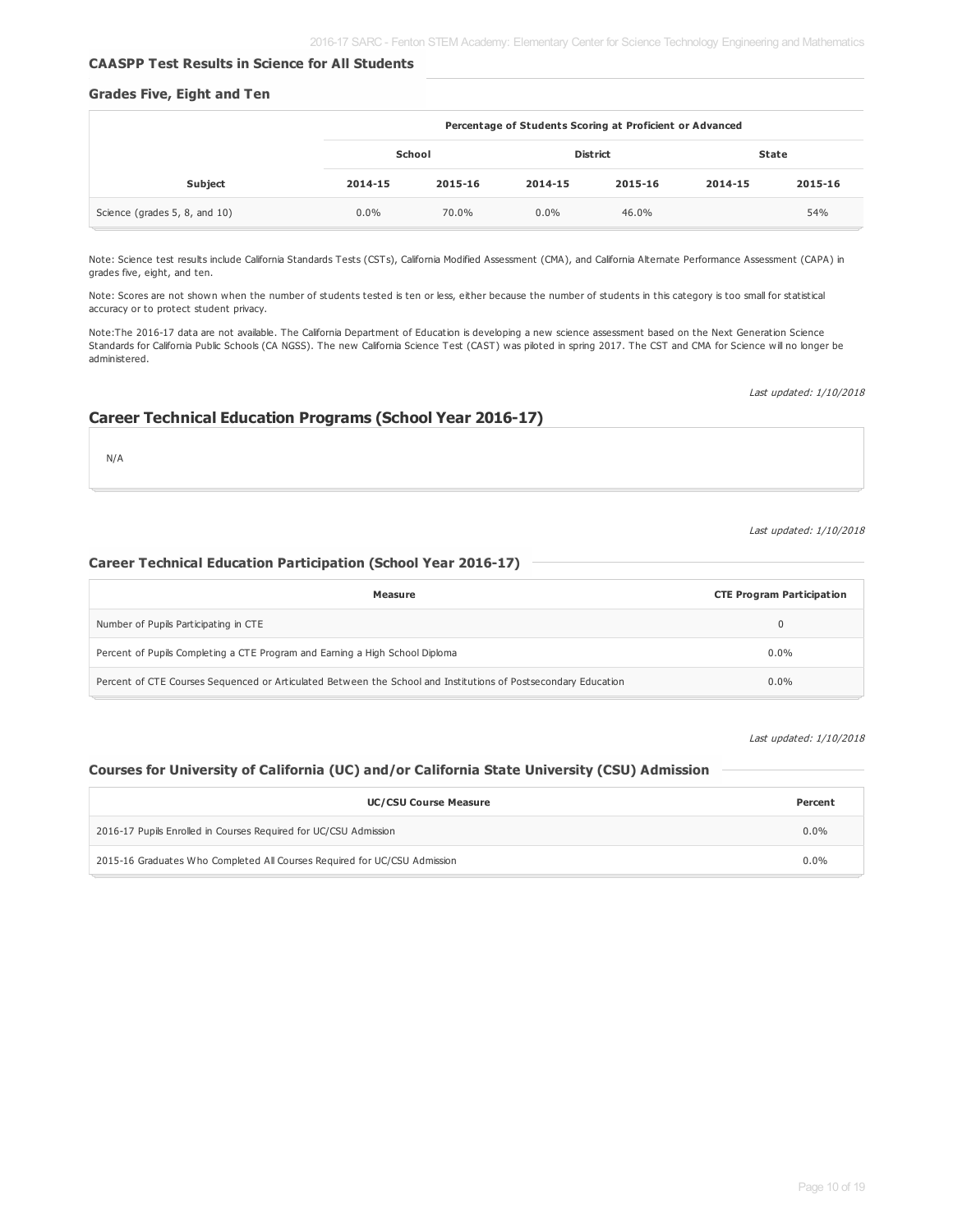#### **CAASPP Test Results in Science for All Students**

#### **Grades Five, Eight and Ten**

|                               |         | Percentage of Students Scoring at Proficient or Advanced |         |         |         |         |
|-------------------------------|---------|----------------------------------------------------------|---------|---------|---------|---------|
| School                        |         | <b>District</b>                                          |         |         |         | State   |
| <b>Subject</b>                | 2014-15 | 2015-16                                                  | 2014-15 | 2015-16 | 2014-15 | 2015-16 |
| Science (grades 5, 8, and 10) | $0.0\%$ | 70.0%                                                    | $0.0\%$ | 46.0%   |         | 54%     |

Note: Science test results include California Standards Tests (CSTs), California Modified Assessment (CMA), and California Alternate Performance Assessment (CAPA) in grades five, eight, and ten.

Note: Scores are not shown when the number of students tested is ten or less, either because the number of students in this category is too small for statistical accuracy or to protect student privacy.

Note:The 2016-17 data are not available. The California Department of Education is developing a new science assessment based on the Next Generation Science Standards for California Public Schools (CA NGSS). The new California Science Test (CAST) was piloted in spring 2017. The CST and CMA for Science will no longer be administered.

Last updated: 1/10/2018

#### **Career Technical Education Programs (School Year 2016-17)**

N/A

#### Last updated: 1/10/2018

#### **Career Technical Education Participation (School Year 2016-17)**

| Measure                                                                                                        | <b>CTE Program Participation</b> |
|----------------------------------------------------------------------------------------------------------------|----------------------------------|
| Number of Pupils Participating in CTE                                                                          |                                  |
| Percent of Pupils Completing a CTE Program and Earning a High School Diploma                                   | 0.0%                             |
| Percent of CTE Courses Sequenced or Articulated Between the School and Institutions of Postsecondary Education | $0.0\%$                          |

Last updated: 1/10/2018

#### **Courses for University of California (UC) and/or California State University (CSU) Admission**

| <b>UC/CSU Course Measure</b>                                              |         |  |  |  |  |
|---------------------------------------------------------------------------|---------|--|--|--|--|
| 2016-17 Pupils Enrolled in Courses Required for UC/CSU Admission          |         |  |  |  |  |
| 2015-16 Graduates Who Completed All Courses Required for UC/CSU Admission | $0.0\%$ |  |  |  |  |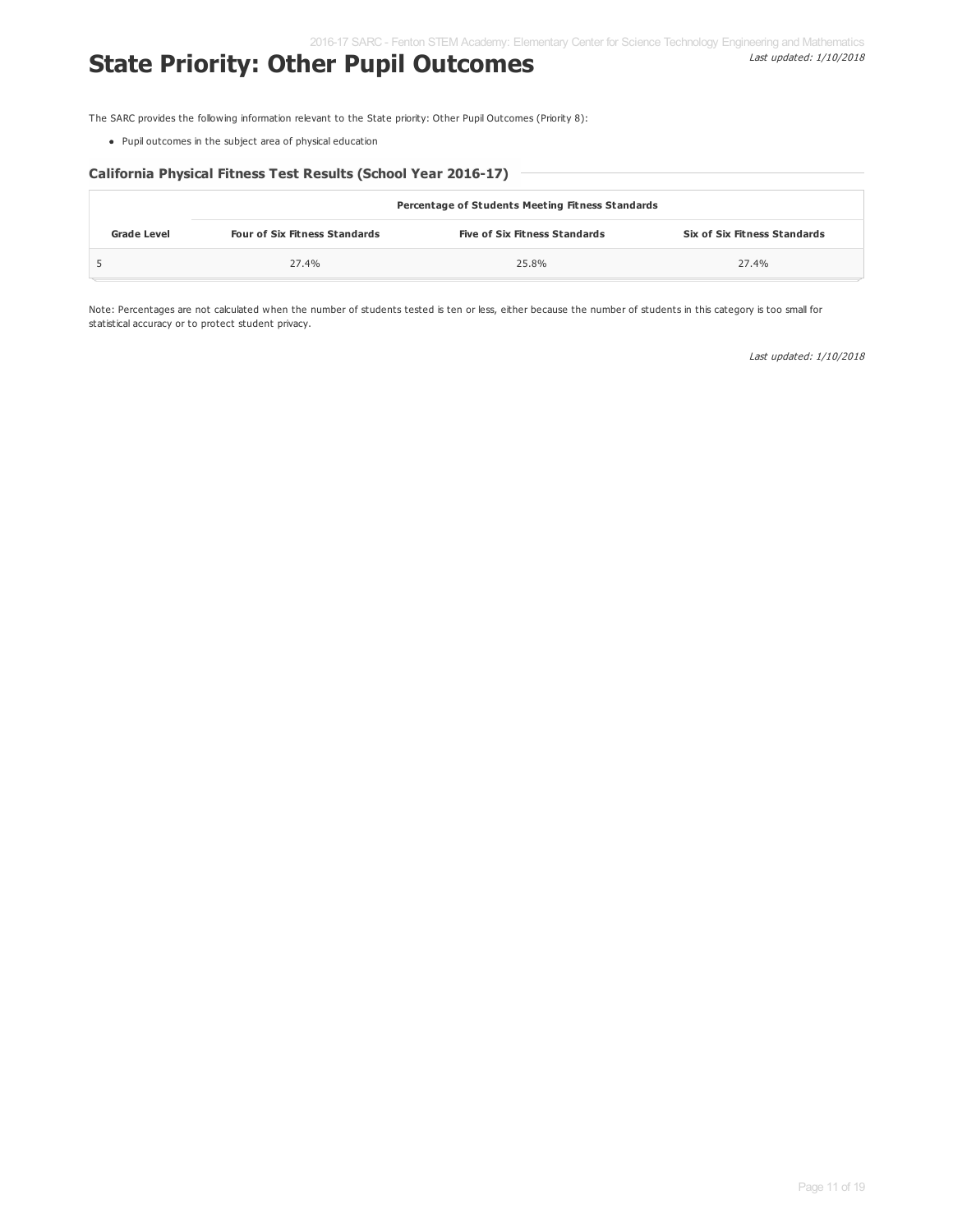## **State Priority: Other Pupil Outcomes**

Last updated: 1/10/2018

The SARC provides the following information relevant to the State priority: Other Pupil Outcomes (Priority 8):

Pupil outcomes in the subject area of physical education

#### **California Physical Fitness Test Results (School Year 2016-17)**

|                    | Percentage of Students Meeting Fitness Standards |                                      |                              |  |  |  |  |  |
|--------------------|--------------------------------------------------|--------------------------------------|------------------------------|--|--|--|--|--|
| <b>Grade Level</b> | <b>Four of Six Fitness Standards</b>             | <b>Five of Six Fitness Standards</b> | Six of Six Fitness Standards |  |  |  |  |  |
|                    | 27.4%                                            | 25.8%                                | 27.4%                        |  |  |  |  |  |

Note: Percentages are not calculated when the number of students tested is ten or less, either because the number of students in this category is too small for statistical accuracy or to protect student privacy.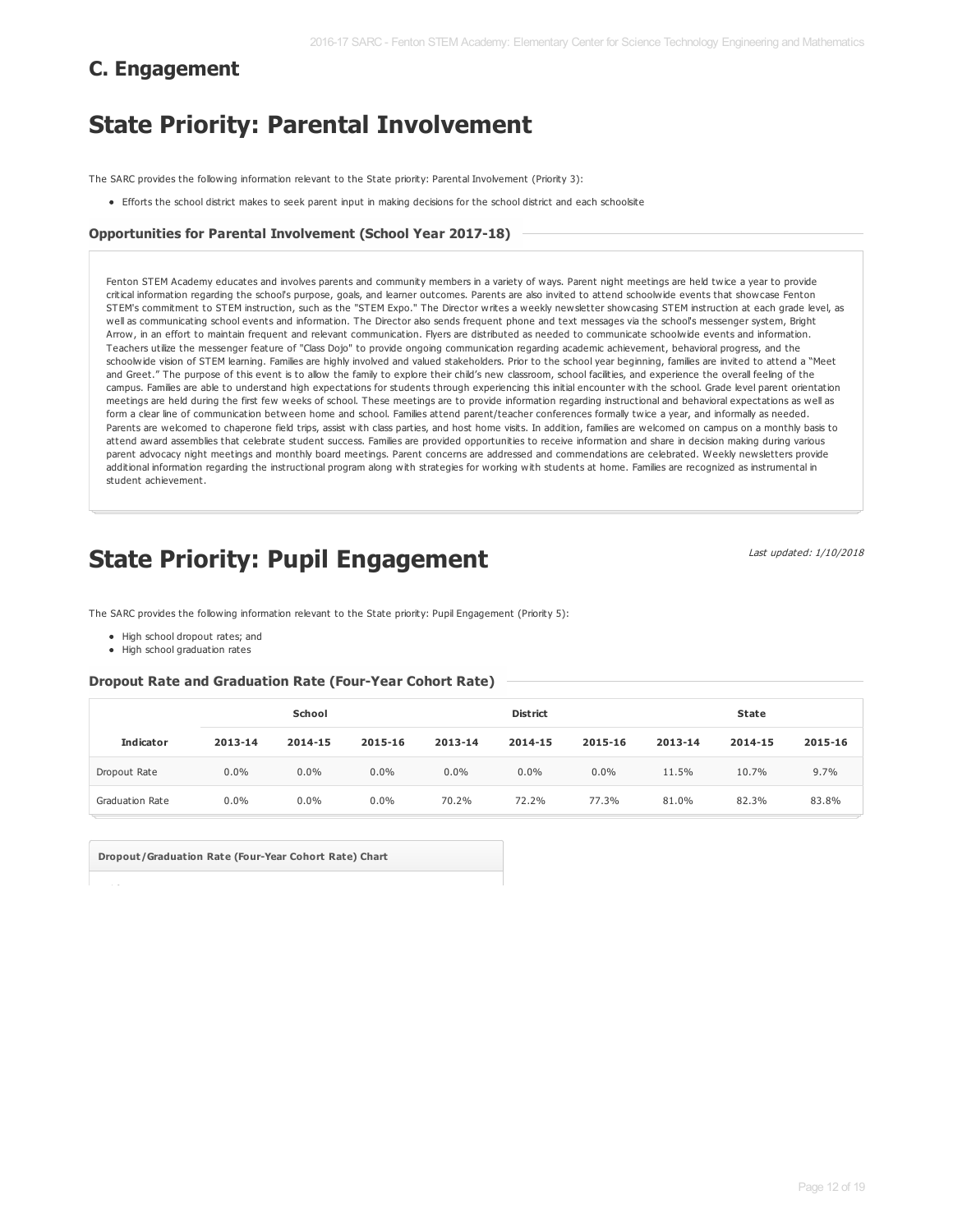## **C. Engagement**

## **State Priority: Parental Involvement**

The SARC provides the following information relevant to the State priority: Parental Involvement (Priority 3):

Efforts the school district makes to seek parent input in making decisions for the school district and each schoolsite

#### **Opportunities for Parental Involvement (School Year 2017-18)**

Fenton STEM Academy educates and involves parents and community members in a variety of ways. Parent night meetings are held twice a year to provide critical information regarding the school's purpose, goals, and learner outcomes. Parents are also invited to attend schoolwide events that showcase Fenton STEM's commitment to STEM instruction, such as the "STEM Expo." The Director writes a weekly newsletter showcasing STEM instruction at each grade level, as well as communicating school events and information. The Director also sends frequent phone and text messages via the school's messenger system, Bright Arrow, in an effort to maintain frequent and relevant communication. Flyers are distributed as needed to communicate schoolwide events and information. Teachers utilize the messenger feature of "Class Dojo" to provide ongoing communication regarding academic achievement, behavioral progress, and the schoolwide vision of STEM learning. Families are highly involved and valued stakeholders. Prior to the school year beginning, families are invited to attend a "Meet and Greet." The purpose of this event is to allow the family to explore their child's new classroom, school facilities, and experience the overall feeling of the campus. Families are able to understand high expectations for students through experiencing this initial encounter with the school. Grade level parent orientation meetings are held during the first few weeks of school. These meetings are to provide information regarding instructional and behavioral expectations as well as form a clear line of communication between home and school. Families attend parent/teacher conferences formally twice a year, and informally as needed. Parents are welcomed to chaperone field trips, assist with class parties, and host home visits. In addition, families are welcomed on campus on a monthly basis to attend award assemblies that celebrate student success. Families are provided opportunities to receive information and share in decision making during various parent advocacy night meetings and monthly board meetings. Parent concerns are addressed and commendations are celebrated. Weekly newsletters provide additional information regarding the instructional program along with strategies for working with students at home. Families are recognized as instrumental in student achievement.

## **State Priority: Pupil Engagement**

Last updated: 1/10/2018

The SARC provides the following information relevant to the State priority: Pupil Engagement (Priority 5):

- High school dropout rates; and
- High school graduation rates

#### **Dropout Rate and Graduation Rate (Four-Year Cohort Rate)**

|                        | School  |         |         |         | <b>District</b> |         | <b>State</b> |         |         |  |
|------------------------|---------|---------|---------|---------|-----------------|---------|--------------|---------|---------|--|
| <b>Indicator</b>       | 2013-14 | 2014-15 | 2015-16 | 2013-14 | 2014-15         | 2015-16 | 2013-14      | 2014-15 | 2015-16 |  |
| Dropout Rate           | 0.0%    | $0.0\%$ | $0.0\%$ | $0.0\%$ | $0.0\%$         | 0.0%    | 11.5%        | 10.7%   | 9.7%    |  |
| <b>Graduation Rate</b> | 0.0%    | $0.0\%$ | $0.0\%$ | 70.2%   | 72.2%           | 77.3%   | 81.0%        | 82.3%   | 83.8%   |  |

**Dropout/Graduation Rate (Four-Year Cohort Rate) Chart**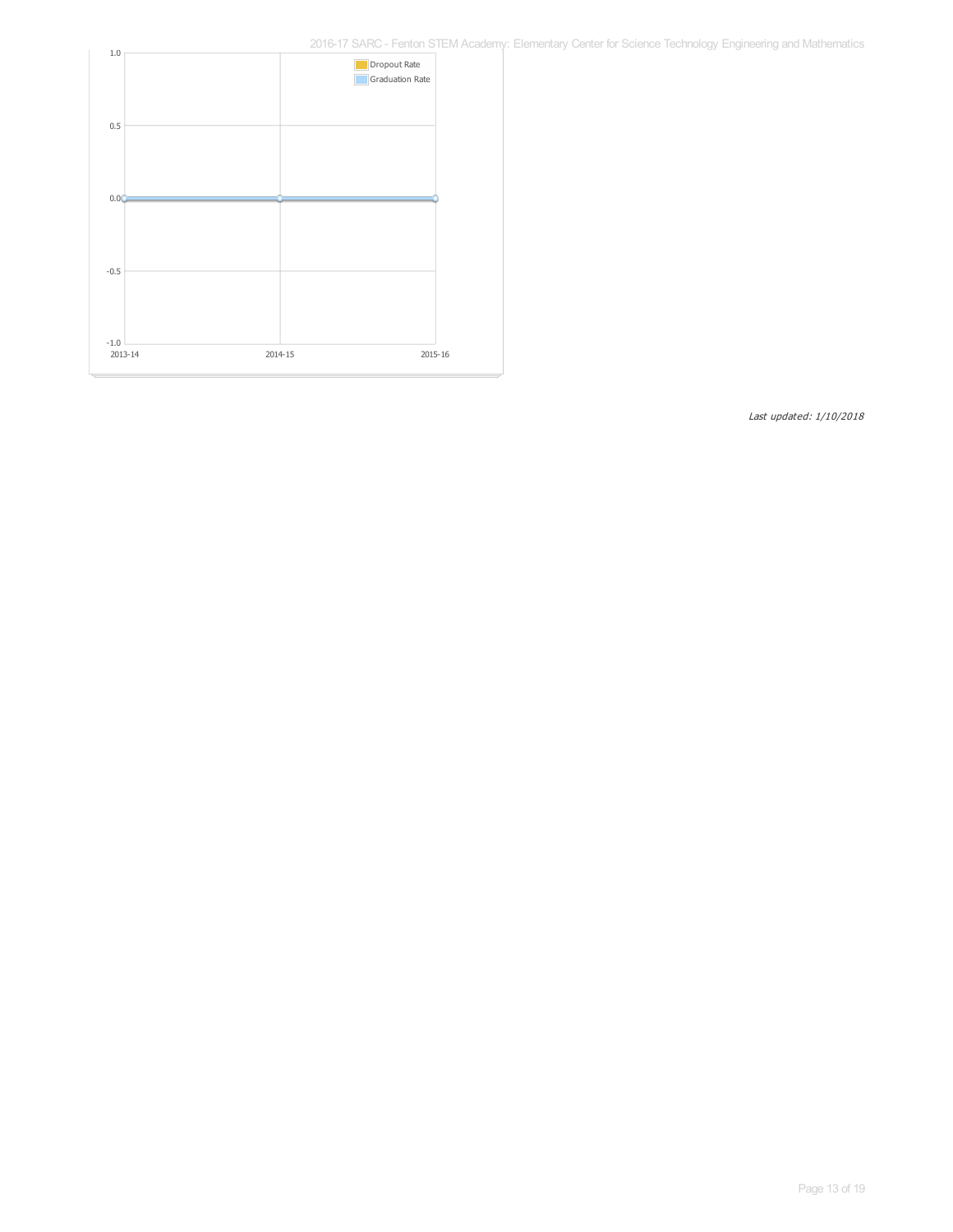2016-17 SARC - Fenton STEM Academy: Elementary Center for Science Technology Engineering and Mathematics

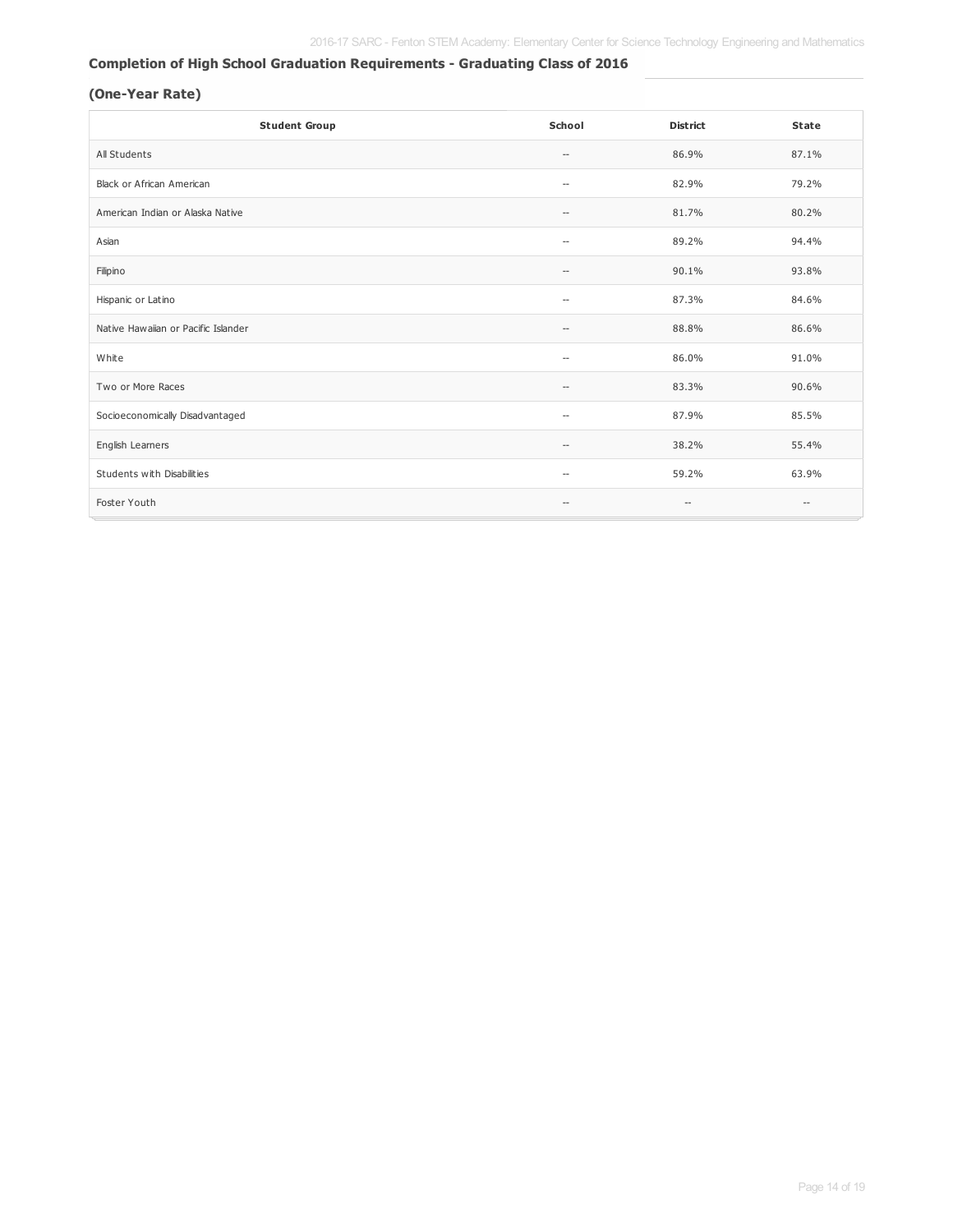#### **Completion of High School Graduation Requirements - Graduating Class of 2016**

#### **(One-Year Rate)**

| <b>Student Group</b>                | School                                | <b>District</b>          | <b>State</b>      |
|-------------------------------------|---------------------------------------|--------------------------|-------------------|
| All Students                        | $\hspace{0.05cm} -$                   | 86.9%                    | 87.1%             |
| <b>Black or African American</b>    | $\overline{\phantom{m}}$              | 82.9%                    | 79.2%             |
| American Indian or Alaska Native    | $\hspace{0.05cm} -$                   | 81.7%                    | 80.2%             |
| Asian                               | $\overline{\phantom{a}}$              | 89.2%                    | 94.4%             |
| Filipino                            | $\hspace{0.05cm}$ – $\hspace{0.05cm}$ | 90.1%                    | 93.8%             |
| Hispanic or Latino                  | $\overline{\phantom{a}}$              | 87.3%                    | 84.6%             |
| Native Hawaiian or Pacific Islander | $\hspace{0.05cm} -$                   | 88.8%                    | 86.6%             |
| White                               | --                                    | 86.0%                    | 91.0%             |
| Two or More Races                   | $\hspace{0.05cm}$ – $\hspace{0.05cm}$ | 83.3%                    | 90.6%             |
| Socioeconomically Disadvantaged     | $\overline{\phantom{m}}$              | 87.9%                    | 85.5%             |
| English Learners                    | $-$                                   | 38.2%                    | 55.4%             |
| Students with Disabilities          | $\overline{\phantom{m}}$              | 59.2%                    | 63.9%             |
| Foster Youth                        | $\hspace{0.05cm} -$                   | $\overline{\phantom{a}}$ | $\qquad \qquad -$ |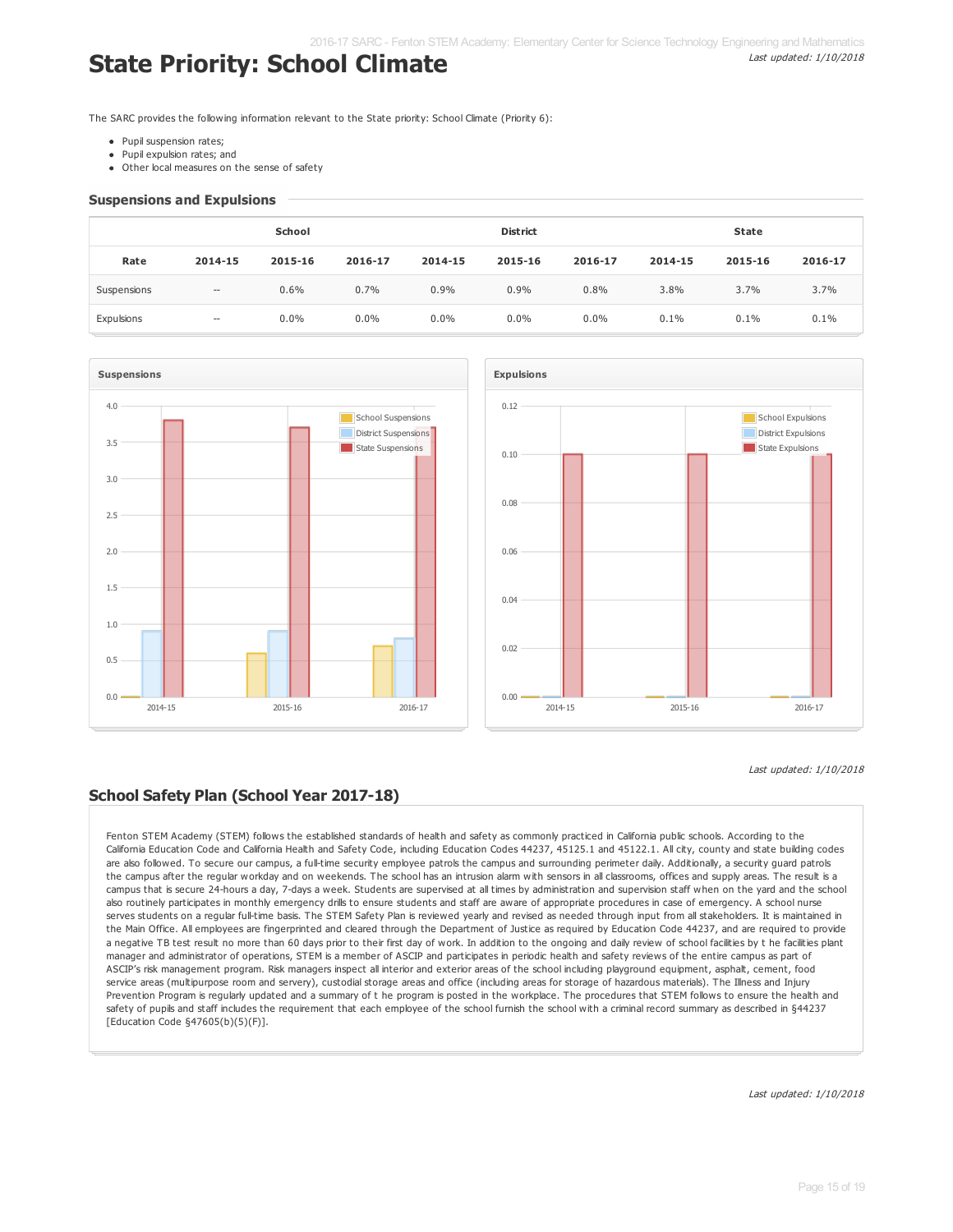## **State Priority: School Climate**

The SARC provides the following information relevant to the State priority: School Climate (Priority 6):

- Pupil suspension rates:
- Pupil expulsion rates; and
- Other local measures on the sense of safety

#### **Suspensions and Expulsions**

|             | School                   |         |         |         | <b>District</b> |         | <b>State</b> |         |         |  |
|-------------|--------------------------|---------|---------|---------|-----------------|---------|--------------|---------|---------|--|
| Rate        | 2014-15                  | 2015-16 | 2016-17 | 2014-15 | 2015-16         | 2016-17 | 2014-15      | 2015-16 | 2016-17 |  |
| Suspensions | $\overline{\phantom{a}}$ | 0.6%    | 0.7%    | 0.9%    | 0.9%            | 0.8%    | 3.8%         | 3.7%    | 3.7%    |  |
| Expulsions  | $\overline{\phantom{a}}$ | $0.0\%$ | $0.0\%$ | $0.0\%$ | $0.0\%$         | $0.0\%$ | 0.1%         | 0.1%    | 0.1%    |  |





#### **School Safety Plan (School Year 2017-18)**

Fenton STEM Academy (STEM) follows the established standards of health and safety as commonly practiced in California public schools. According to the California Education Code and California Health and Safety Code, including Education Codes 44237, 45125.1 and 45122.1. All city, county and state building codes are also followed. To secure our campus, a full-time security employee patrols the campus and surrounding perimeter daily. Additionally, a security quard patrols the campus after the regular workday and on weekends. The school has an intrusion alarm with sensors in all classrooms, offices and supply areas. The result is a campus that is secure 24-hours a day, 7-days a week. Students are supervised at all times by administration and supervision staff when on the yard and the school also routinely participates in monthly emergency drills to ensure students and staff are aware of appropriate procedures in case of emergency. A school nurse serves students on a regular full-time basis. The STEM Safety Plan is reviewed yearly and revised as needed through input from all stakeholders. It is maintained in the Main Office. All employees are fingerprinted and cleared through the Department of Justice as required by Education Code 44237, and are required to provide a negative TB test result no more than 60 days prior to their first day of work. In addition to the ongoing and daily review of school facilities by t he facilities plant manager and administrator of operations, STEM is a member of ASCIP and participates in periodic health and safety reviews of the entire campus as part of ASCIP's risk management program. Risk managers inspect all interior and exterior areas of the school including playground equipment, asphalt, cement, food service areas (multipurpose room and servery), custodial storage areas and office (including areas for storage of hazardous materials). The Illness and Injury Prevention Program is regularly updated and a summary of t he program is posted in the workplace. The procedures that STEM follows to ensure the health and safety of pupils and staff includes the requirement that each employee of the school furnish the school with a criminal record summary as described in §44237 [Education Code §47605(b)(5)(F)].

Last updated: 1/10/2018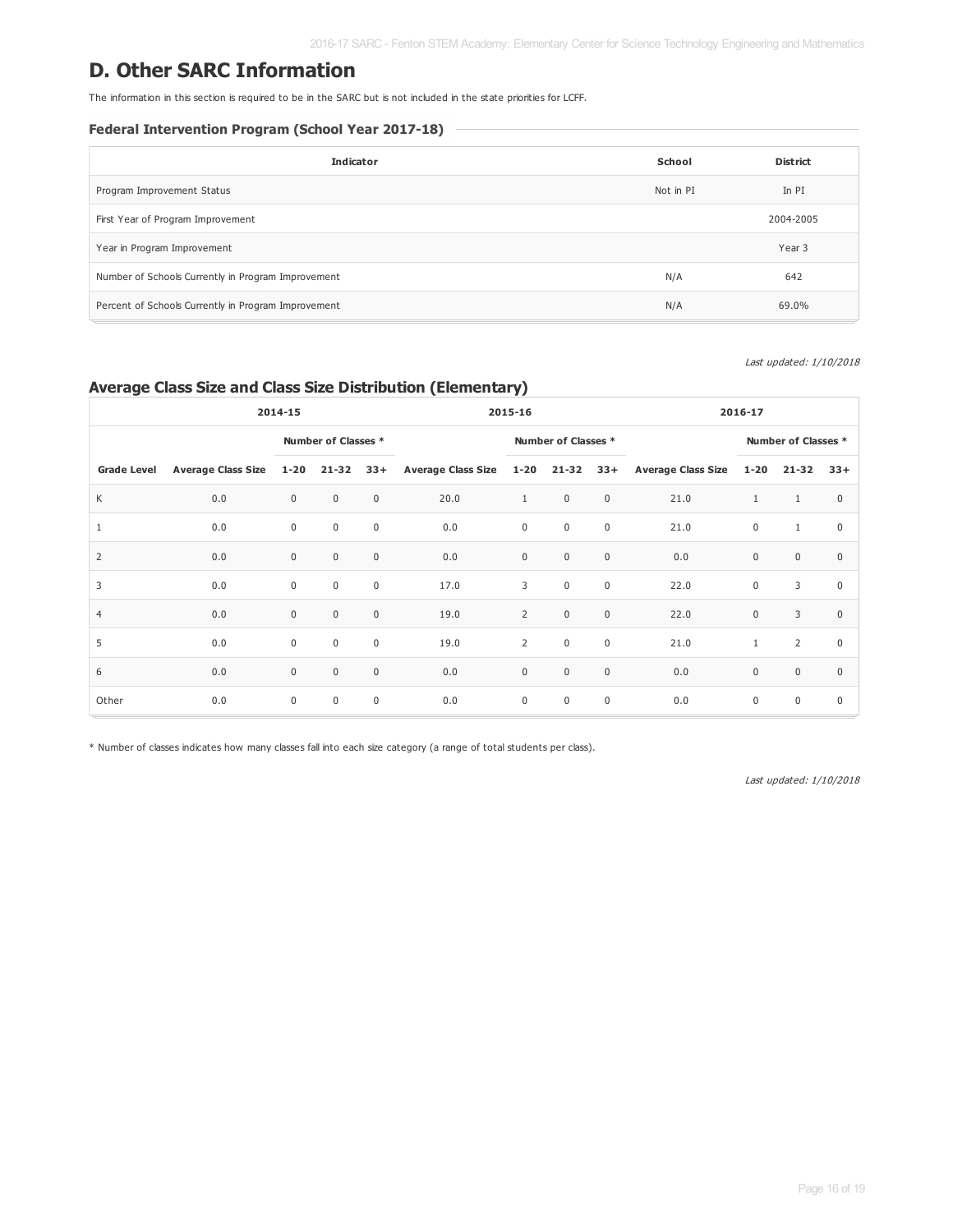### **D. Other SARC Information**

The information in this section is required to be in the SARC but is not included in the state priorities for LCFF.

#### **Federal Intervention Program (School Year 2017-18)**

| <b>Indicator</b>                                    | School    | <b>District</b> |
|-----------------------------------------------------|-----------|-----------------|
| Program Improvement Status                          | Not in PI | In PI           |
| First Year of Program Improvement                   |           | 2004-2005       |
| Year in Program Improvement                         |           | Year 3          |
| Number of Schools Currently in Program Improvement  | N/A       | 642             |
| Percent of Schools Currently in Program Improvement | N/A       | 69.0%           |

Last updated: 1/10/2018

### **Average Class Size and Class Size Distribution (Elementary)**

| 2014-15            |                           |              |                     |             | 2015-16                 |                |                     |                  | 2016-17                   |                  |              |              |
|--------------------|---------------------------|--------------|---------------------|-------------|-------------------------|----------------|---------------------|------------------|---------------------------|------------------|--------------|--------------|
|                    |                           |              | Number of Classes * |             |                         |                | Number of Classes * |                  | Number of Classes *       |                  |              |              |
| <b>Grade Level</b> | <b>Average Class Size</b> | $1 - 20$     | $21 - 32$           | $33+$       | Average Class Size 1-20 |                | 21-32               | $33+$            | <b>Average Class Size</b> | $1 - 20$         | 21-32        | $33+$        |
| K                  | 0.0                       | $\mathbf{0}$ | $\mathbf{0}$        | $\mathbf 0$ | 20.0                    | $\mathbf{1}$   | $\mathsf 0$         | $\boldsymbol{0}$ | 21.0                      | $\mathbf{1}$     | 1            | $\mathbf{0}$ |
| $\mathbf{1}$       | 0.0                       | $\mathbf 0$  | $\mathbf 0$         | $\mathbf 0$ | 0.0                     | $\mathbf 0$    | $\mathbf 0$         | $\mathbf 0$      | 21.0                      | $\mathbf 0$      | $\mathbf{1}$ | $\mathbf 0$  |
| $\overline{2}$     | 0.0                       | $\mathbf 0$  | $\mathbf 0$         | $\mathbf 0$ | 0.0                     | $\mathbf 0$    | $\mathbf 0$         | $\boldsymbol{0}$ | 0.0                       | $\boldsymbol{0}$ | $\mathbf{0}$ | $\mathbf{0}$ |
| 3                  | 0.0                       | $\mathbf 0$  | $\mathbf 0$         | $\mathbf 0$ | 17.0                    | 3              | $\mathbf 0$         | $\mathsf{0}$     | 22.0                      | $\mathbf 0$      | 3            | $\mathbf 0$  |
| $\overline{4}$     | 0.0                       | $\mathbf 0$  | $\mathbf 0$         | $\mathbf 0$ | 19.0                    | $\overline{2}$ | $\mathbf 0$         | $\boldsymbol{0}$ | 22.0                      | $\mathbf 0$      | 3            | $\mathbf{0}$ |
| 5                  | 0.0                       | $\mathbf 0$  | $\mathbf 0$         | $\mathbf 0$ | 19.0                    | $\overline{2}$ | $\mathbf 0$         | $\mathbf 0$      | 21.0                      | $\mathbf{1}$     | 2            | $\mathbf 0$  |
| 6                  | 0.0                       | $\mathbf{0}$ | $\mathbf{0}$        | $\mathbf 0$ | 0.0                     | $\mathbf 0$    | $\mathbf 0$         | $\mathsf 0$      | 0.0                       | $\boldsymbol{0}$ | $\mathbf 0$  | $\mathbf{0}$ |
| Other              | 0.0                       | $\mathbf 0$  | $\mathbf 0$         | $\mathbf 0$ | 0.0                     | $\mathbf 0$    | $\mathbf 0$         | $\mathbf 0$      | 0.0                       | $\mathbf 0$      | $\mathbf 0$  | $\mathbf 0$  |

\* Number of classes indicates how many classes fall into each size category (a range of total students per class).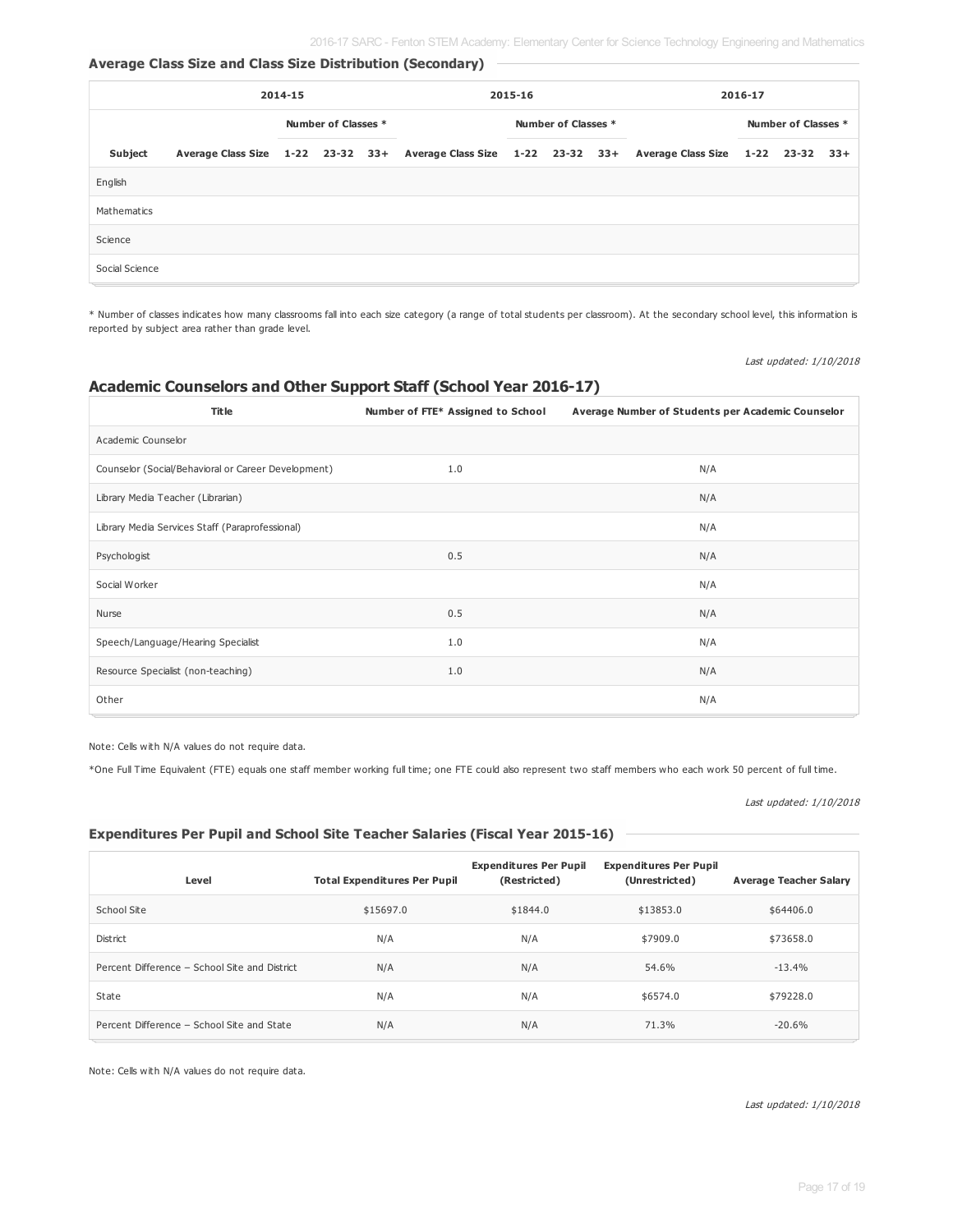#### **Average Class Size and Class Size Distribution (Secondary)**

| 2014-15        |  |                     |  | 2015-16 |  |                     |  | 2016-17 |                                                                                                       |                     |  |  |
|----------------|--|---------------------|--|---------|--|---------------------|--|---------|-------------------------------------------------------------------------------------------------------|---------------------|--|--|
|                |  | Number of Classes * |  |         |  | Number of Classes * |  |         |                                                                                                       | Number of Classes * |  |  |
| Subject        |  |                     |  |         |  |                     |  |         | Average Class Size 1-22 23-32 33+ Average Class Size 1-22 23-32 33+ Average Class Size 1-22 23-32 33+ |                     |  |  |
| English        |  |                     |  |         |  |                     |  |         |                                                                                                       |                     |  |  |
| Mathematics    |  |                     |  |         |  |                     |  |         |                                                                                                       |                     |  |  |
| Science        |  |                     |  |         |  |                     |  |         |                                                                                                       |                     |  |  |
| Social Science |  |                     |  |         |  |                     |  |         |                                                                                                       |                     |  |  |

\* Number of classes indicates how many classrooms fall into each size category (a range of total students per classroom). At the secondary school level, this information is reported by subject area rather than grade level.

Last updated: 1/10/2018

#### **Academic Counselors and Other Support Staff (School Year 2016-17)**

| <b>Title</b>                                        | Number of FTE* Assigned to School | Average Number of Students per Academic Counselor |
|-----------------------------------------------------|-----------------------------------|---------------------------------------------------|
| Academic Counselor                                  |                                   |                                                   |
| Counselor (Social/Behavioral or Career Development) | 1.0                               | N/A                                               |
| Library Media Teacher (Librarian)                   |                                   | N/A                                               |
| Library Media Services Staff (Paraprofessional)     |                                   | N/A                                               |
| Psychologist                                        | 0.5                               | N/A                                               |
| Social Worker                                       |                                   | N/A                                               |
| Nurse                                               | 0.5                               | N/A                                               |
| Speech/Language/Hearing Specialist                  | 1.0                               | N/A                                               |
| Resource Specialist (non-teaching)                  | 1.0                               | N/A                                               |
| Other                                               |                                   | N/A                                               |

Note: Cells with N/A values do not require data.

\*One Full Time Equivalent (FTE) equals one staff member working full time; one FTE could also represent two staff members who each work 50 percent of full time.

|  |  | Last updated: 1/10/2018 |
|--|--|-------------------------|
|--|--|-------------------------|

#### **Expenditures Per Pupil and School Site Teacher Salaries (Fiscal Year 2015-16)**

| Level                                         | <b>Total Expenditures Per Pupil</b> | <b>Expenditures Per Pupil</b><br>(Restricted) | <b>Expenditures Per Pupil</b><br>(Unrestricted) | <b>Average Teacher Salary</b> |
|-----------------------------------------------|-------------------------------------|-----------------------------------------------|-------------------------------------------------|-------------------------------|
| School Site                                   | \$15697.0                           | \$1844.0                                      | \$13853.0                                       | \$64406.0                     |
| <b>District</b>                               | N/A                                 | N/A                                           | \$7909.0                                        | \$73658.0                     |
| Percent Difference - School Site and District | N/A                                 | N/A                                           | 54.6%                                           | $-13.4%$                      |
| State                                         | N/A                                 | N/A                                           | \$6574.0                                        | \$79228.0                     |
| Percent Difference - School Site and State    | N/A                                 | N/A                                           | 71.3%                                           | $-20.6%$                      |

Note: Cells with N/A values do not require data.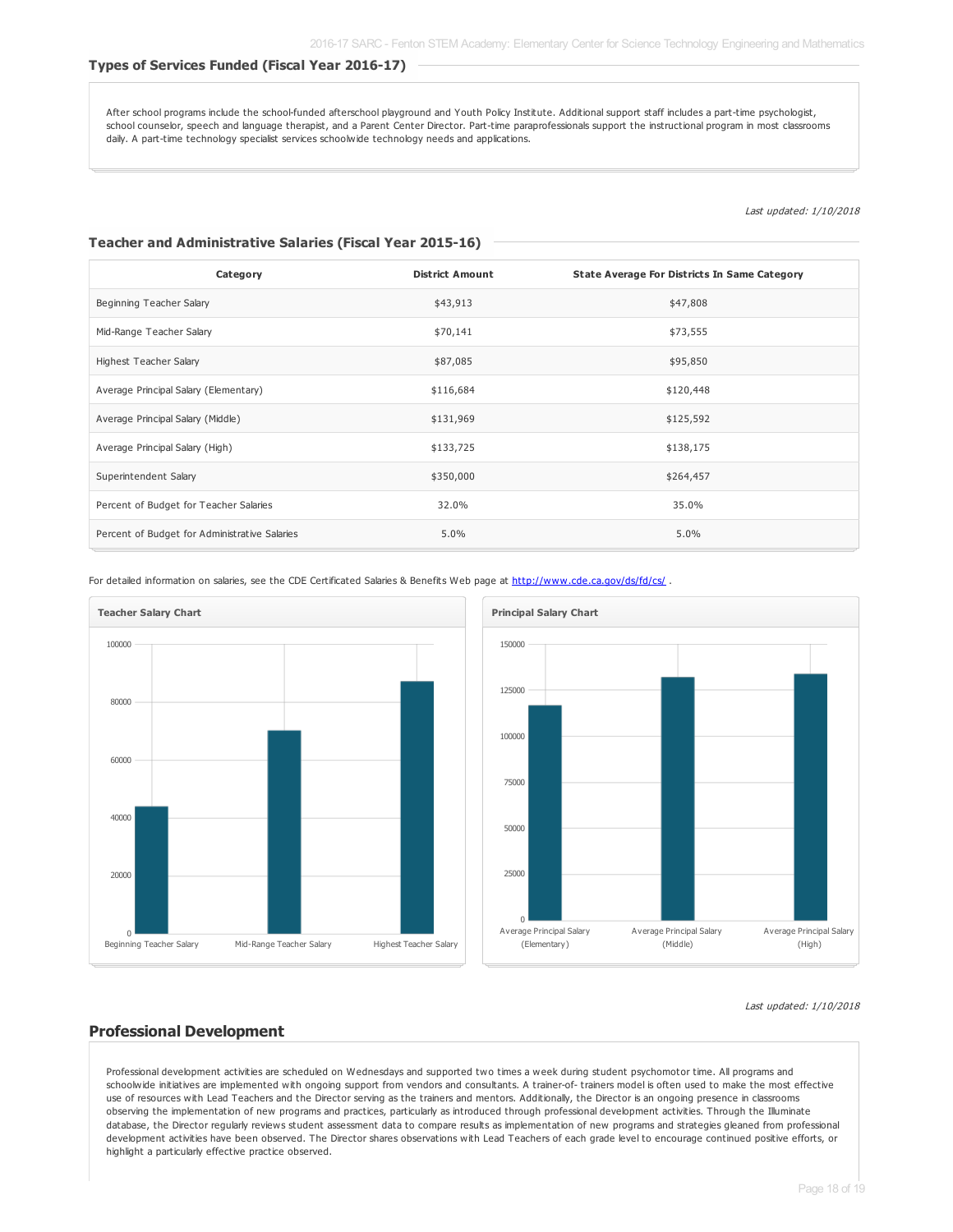#### **Types of Services Funded (Fiscal Year 2016-17)**

After school programs include the school-funded afterschool playground and Youth Policy Institute. Additional support staff includes a part-time psychologist, school counselor, speech and language therapist, and a Parent Center Director. Part-time paraprofessionals support the instructional program in most classrooms daily. A part-time technology specialist services schoolwide technology needs and applications.

Last updated: 1/10/2018

#### **Teacher and Administrative Salaries (Fiscal Year 2015-16)**

| Category                                      | <b>District Amount</b> | State Average For Districts In Same Category |
|-----------------------------------------------|------------------------|----------------------------------------------|
| Beginning Teacher Salary                      | \$43,913               | \$47,808                                     |
| Mid-Range Teacher Salary                      | \$70,141               | \$73,555                                     |
| Highest Teacher Salary                        | \$87,085               | \$95,850                                     |
| Average Principal Salary (Elementary)         | \$116,684              | \$120,448                                    |
| Average Principal Salary (Middle)             | \$131,969              | \$125,592                                    |
| Average Principal Salary (High)               | \$133,725              | \$138,175                                    |
| Superintendent Salary                         | \$350,000              | \$264,457                                    |
| Percent of Budget for Teacher Salaries        | 32.0%                  | 35.0%                                        |
| Percent of Budget for Administrative Salaries | 5.0%                   | 5.0%                                         |

For detailed information on salaries, see the CDE Certificated Salaries & Benefits Web page at <http://www.cde.ca.gov/ds/fd/cs/> .





Last updated: 1/10/2018

#### **Professional Development**

Professional development activities are scheduled on Wednesdays and supported two times a week during student psychomotor time. All programs and schoolwide initiatives are implemented with ongoing support from vendors and consultants. A trainer-of- trainers model is often used to make the most effective use of resources with Lead Teachers and the Director serving as the trainers and mentors. Additionally, the Director is an ongoing presence in classrooms observing the implementation of new programs and practices, particularly as introduced through professional development activities. Through the Illuminate database, the Director regularly reviews student assessment data to compare results as implementation of new programs and strategies gleaned from professional development activities have been observed. The Director shares observations with Lead Teachers of each grade level to encourage continued positive efforts, or highlight a particularly effective practice observed.